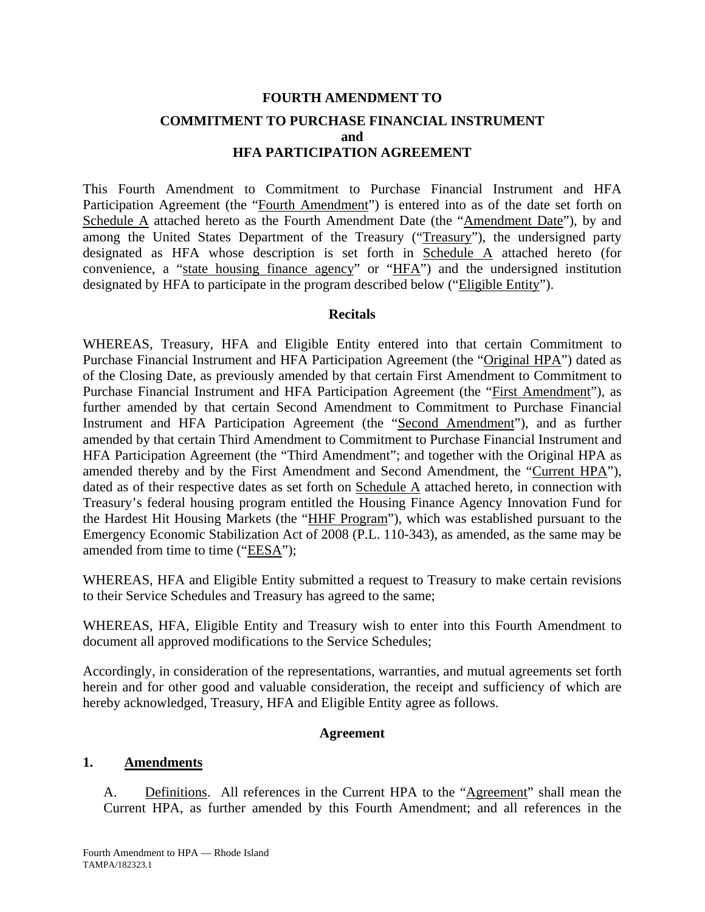# **FOURTH AMENDMENT TO COMMITMENT TO PURCHASE FINANCIAL INSTRUMENT and HFA PARTICIPATION AGREEMENT**

This Fourth Amendment to Commitment to Purchase Financial Instrument and HFA Participation Agreement (the "Fourth Amendment") is entered into as of the date set forth on Schedule A attached hereto as the Fourth Amendment Date (the "Amendment Date"), by and among the United States Department of the Treasury ("Treasury"), the undersigned party designated as HFA whose description is set forth in Schedule A attached hereto (for convenience, a "state housing finance agency" or "HFA") and the undersigned institution designated by HFA to participate in the program described below ("Eligible Entity").

### **Recitals**

WHEREAS, Treasury, HFA and Eligible Entity entered into that certain Commitment to Purchase Financial Instrument and HFA Participation Agreement (the "Original HPA") dated as of the Closing Date, as previously amended by that certain First Amendment to Commitment to Purchase Financial Instrument and HFA Participation Agreement (the "First Amendment"), as further amended by that certain Second Amendment to Commitment to Purchase Financial Instrument and HFA Participation Agreement (the "Second Amendment"), and as further amended by that certain Third Amendment to Commitment to Purchase Financial Instrument and HFA Participation Agreement (the "Third Amendment"; and together with the Original HPA as amended thereby and by the First Amendment and Second Amendment, the "Current HPA"), dated as of their respective dates as set forth on Schedule A attached hereto, in connection with Treasury's federal housing program entitled the Housing Finance Agency Innovation Fund for the Hardest Hit Housing Markets (the "HHF Program"), which was established pursuant to the Emergency Economic Stabilization Act of 2008 (P.L. 110-343), as amended, as the same may be amended from time to time ("EESA");

WHEREAS, HFA and Eligible Entity submitted a request to Treasury to make certain revisions to their Service Schedules and Treasury has agreed to the same;

WHEREAS, HFA, Eligible Entity and Treasury wish to enter into this Fourth Amendment to document all approved modifications to the Service Schedules;

Accordingly, in consideration of the representations, warranties, and mutual agreements set forth herein and for other good and valuable consideration, the receipt and sufficiency of which are hereby acknowledged, Treasury, HFA and Eligible Entity agree as follows.

### **Agreement**

### **1. Amendments**

A. Definitions. All references in the Current HPA to the "Agreement" shall mean the Current HPA, as further amended by this Fourth Amendment; and all references in the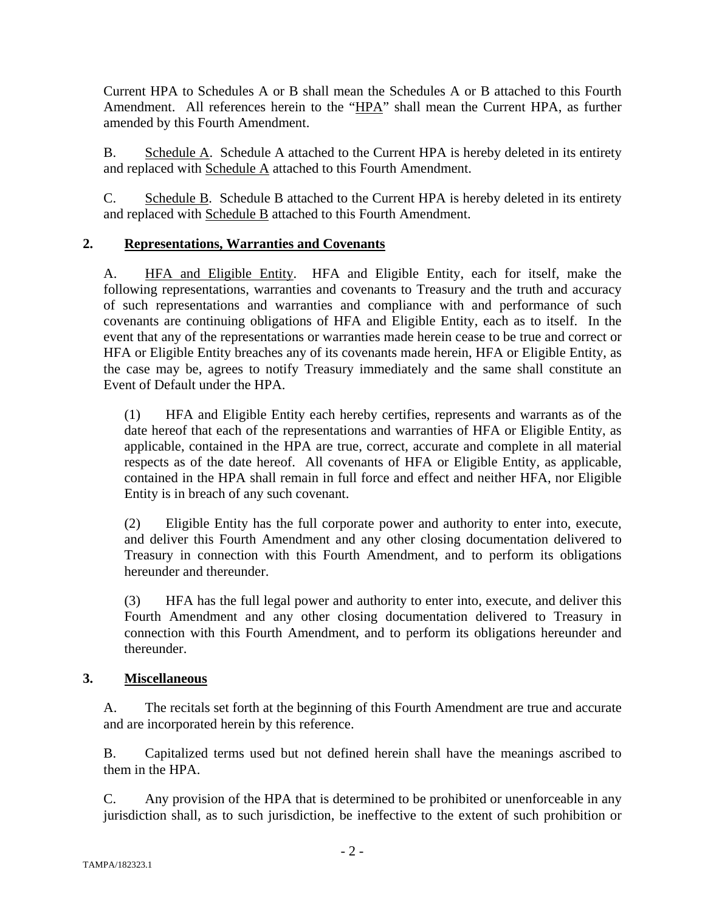Current HPA to Schedules A or B shall mean the Schedules A or B attached to this Fourth Amendment. All references herein to the "HPA" shall mean the Current HPA, as further amended by this Fourth Amendment.

B. Schedule A. Schedule A attached to the Current HPA is hereby deleted in its entirety and replaced with Schedule A attached to this Fourth Amendment.

C. Schedule B. Schedule B attached to the Current HPA is hereby deleted in its entirety and replaced with Schedule B attached to this Fourth Amendment.

# **2. Representations, Warranties and Covenants**

A. HFA and Eligible Entity. HFA and Eligible Entity, each for itself, make the following representations, warranties and covenants to Treasury and the truth and accuracy of such representations and warranties and compliance with and performance of such covenants are continuing obligations of HFA and Eligible Entity, each as to itself. In the event that any of the representations or warranties made herein cease to be true and correct or HFA or Eligible Entity breaches any of its covenants made herein, HFA or Eligible Entity, as the case may be, agrees to notify Treasury immediately and the same shall constitute an Event of Default under the HPA.

(1) HFA and Eligible Entity each hereby certifies, represents and warrants as of the date hereof that each of the representations and warranties of HFA or Eligible Entity, as applicable, contained in the HPA are true, correct, accurate and complete in all material respects as of the date hereof. All covenants of HFA or Eligible Entity, as applicable, contained in the HPA shall remain in full force and effect and neither HFA, nor Eligible Entity is in breach of any such covenant.

(2) Eligible Entity has the full corporate power and authority to enter into, execute, and deliver this Fourth Amendment and any other closing documentation delivered to Treasury in connection with this Fourth Amendment, and to perform its obligations hereunder and thereunder.

(3) HFA has the full legal power and authority to enter into, execute, and deliver this Fourth Amendment and any other closing documentation delivered to Treasury in connection with this Fourth Amendment, and to perform its obligations hereunder and thereunder.

### **3. Miscellaneous**

A. The recitals set forth at the beginning of this Fourth Amendment are true and accurate and are incorporated herein by this reference.

B. Capitalized terms used but not defined herein shall have the meanings ascribed to them in the HPA.

C. Any provision of the HPA that is determined to be prohibited or unenforceable in any jurisdiction shall, as to such jurisdiction, be ineffective to the extent of such prohibition or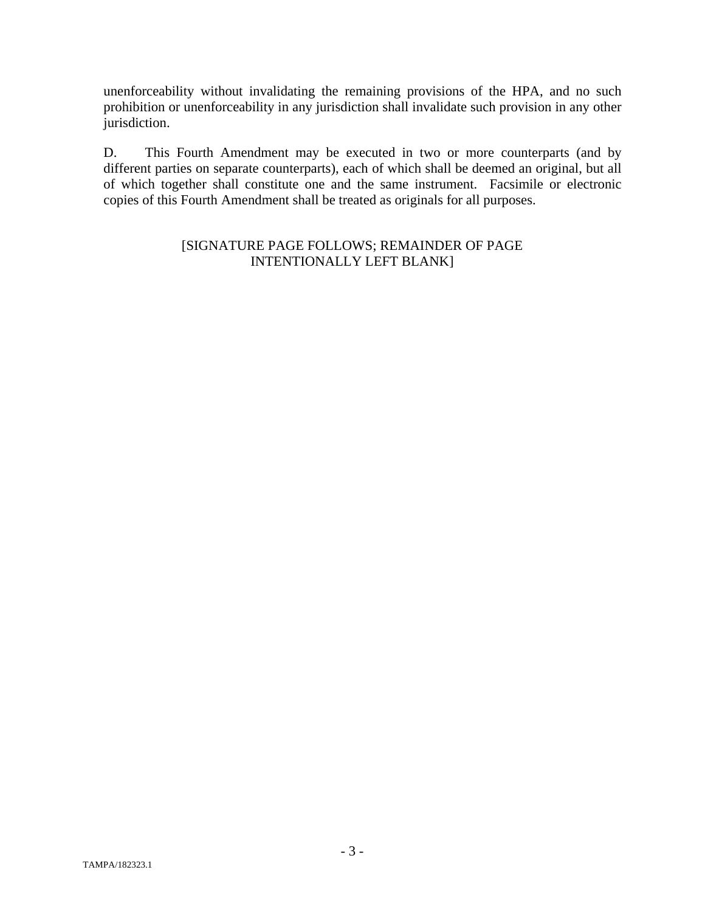unenforceability without invalidating the remaining provisions of the HPA, and no such prohibition or unenforceability in any jurisdiction shall invalidate such provision in any other jurisdiction.

D. This Fourth Amendment may be executed in two or more counterparts (and by different parties on separate counterparts), each of which shall be deemed an original, but all of which together shall constitute one and the same instrument. Facsimile or electronic copies of this Fourth Amendment shall be treated as originals for all purposes.

### [SIGNATURE PAGE FOLLOWS; REMAINDER OF PAGE INTENTIONALLY LEFT BLANK]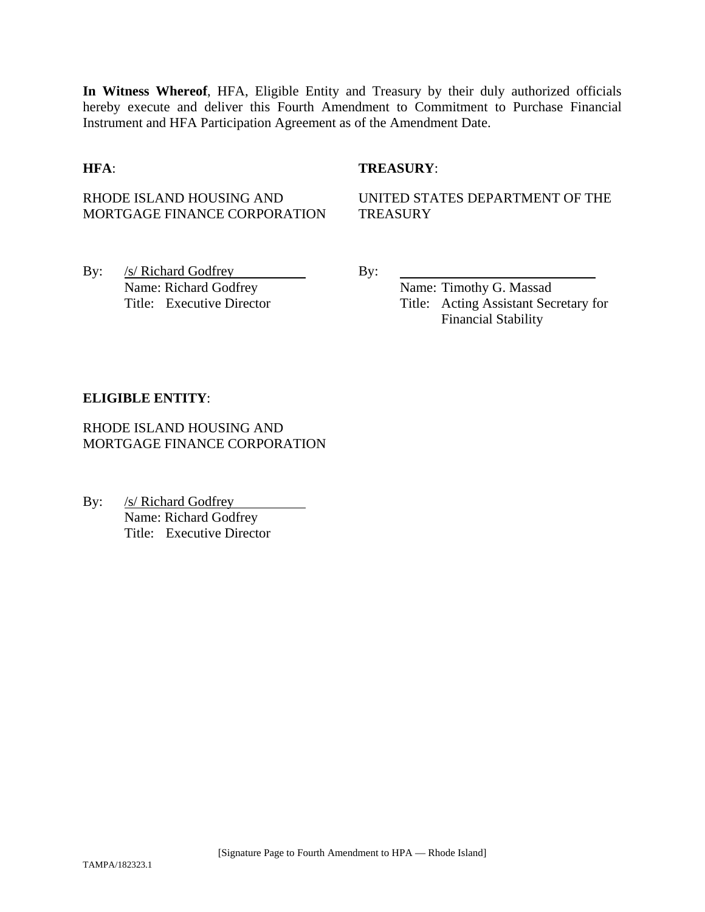**In Witness Whereof**, HFA, Eligible Entity and Treasury by their duly authorized officials hereby execute and deliver this Fourth Amendment to Commitment to Purchase Financial Instrument and HFA Participation Agreement as of the Amendment Date.

### **HFA**: **TREASURY**:

### RHODE ISLAND HOUSING AND MORTGAGE FINANCE CORPORATION

UNITED STATES DEPARTMENT OF THE **TREASURY** 

By: /s/ Richard Godfrey By: Name: Richard Godfrey Name: Timothy G. Massad

Title: Executive Director Title: Acting Assistant Secretary for Financial Stability

### **ELIGIBLE ENTITY**:

RHODE ISLAND HOUSING AND MORTGAGE FINANCE CORPORATION

By: /s/ Richard Godfrey Name: Richard Godfrey Title: Executive Director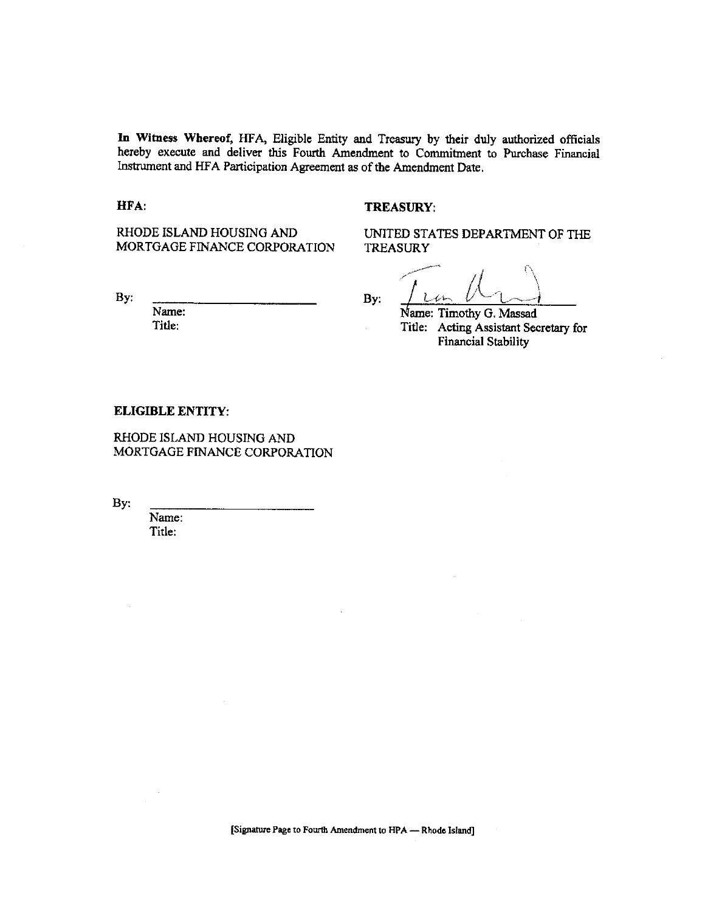In Witness Whereof, HFA, Eligible Entity and Treasury by their duly authorized officials hereby execute and deliver this Fourth Amendment to Commitment to Purchase Financial Instrument and HFA Participation Agreement as of the Amendment Date.

#### HFA:

#### TREASURY:

RHODE ISLAND HOUSING AND MORTGAGE FINANCE CORPORATION

By:

Name: Title:

UNITED STATES DEPARTMENT OF THE **TREASURY** 

By:

Name: Timothy G. Massad

Title: Acting Assistant Secretary for **Financial Stability** 

#### **ELIGIBLE ENTITY:**

RHODE ISLAND HOUSING AND MORTGAGE FINANCE CORPORATION

By:

Name: Title: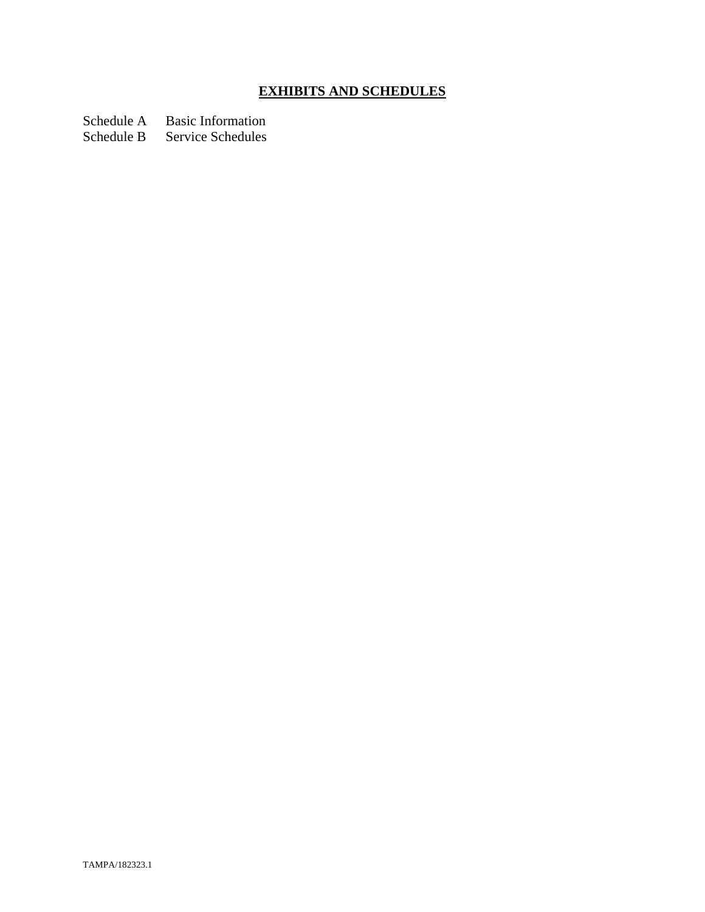# **EXHIBITS AND SCHEDULES**

Schedule A Basic Information

Schedule B Service Schedules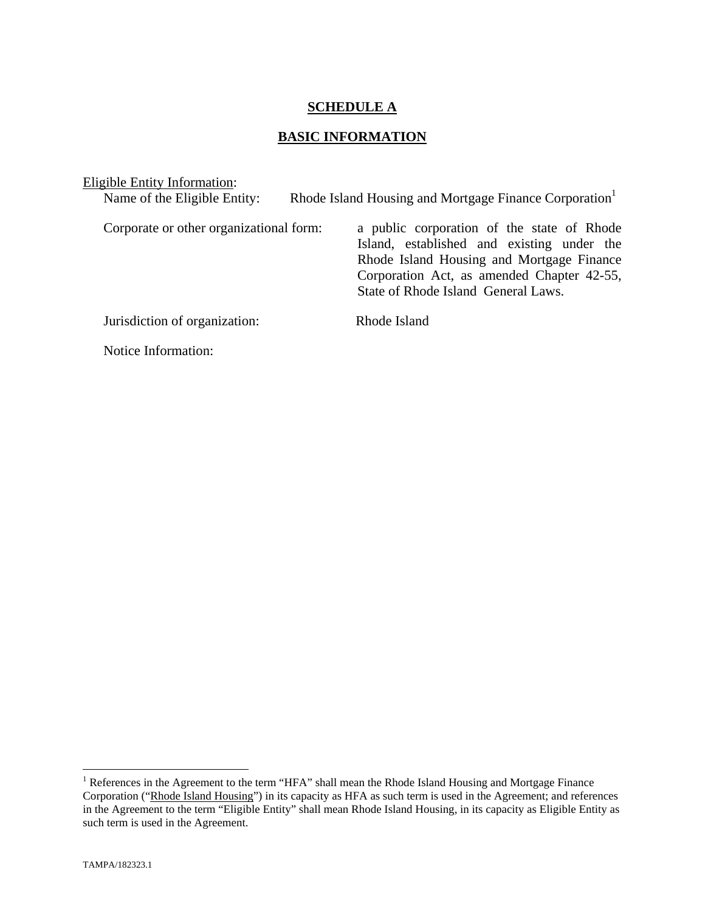### **SCHEDULE A**

### **BASIC INFORMATION**

| Eligible Entity Information:            |                                                                                                                                                                                                                            |
|-----------------------------------------|----------------------------------------------------------------------------------------------------------------------------------------------------------------------------------------------------------------------------|
| Name of the Eligible Entity:            | Rhode Island Housing and Mortgage Finance Corporation <sup>1</sup>                                                                                                                                                         |
| Corporate or other organizational form: | a public corporation of the state of Rhode<br>Island, established and existing under the<br>Rhode Island Housing and Mortgage Finance<br>Corporation Act, as amended Chapter 42-55,<br>State of Rhode Island General Laws. |
| Jurisdiction of organization:           | Rhode Island                                                                                                                                                                                                               |
| Notice Information:                     |                                                                                                                                                                                                                            |

The Teres in the Agreement to the term "HFA" shall mean the Rhode Island Housing and Mortgage Finance Corporation ("Rhode Island Housing") in its capacity as HFA as such term is used in the Agreement; and references in the Agreement to the term "Eligible Entity" shall mean Rhode Island Housing, in its capacity as Eligible Entity as such term is used in the Agreement.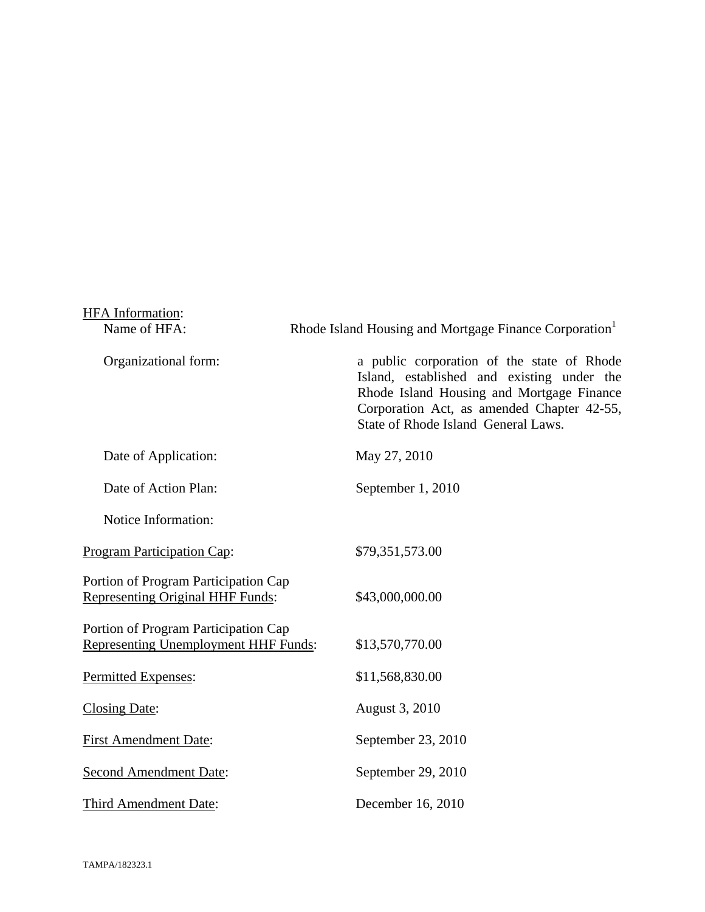| HFA Information:                                                                    |                                                                                                                                                                                                                            |  |
|-------------------------------------------------------------------------------------|----------------------------------------------------------------------------------------------------------------------------------------------------------------------------------------------------------------------------|--|
| Name of HFA:                                                                        | Rhode Island Housing and Mortgage Finance Corporation <sup>1</sup>                                                                                                                                                         |  |
| Organizational form:                                                                | a public corporation of the state of Rhode<br>Island, established and existing under the<br>Rhode Island Housing and Mortgage Finance<br>Corporation Act, as amended Chapter 42-55,<br>State of Rhode Island General Laws. |  |
| Date of Application:                                                                | May 27, 2010                                                                                                                                                                                                               |  |
| Date of Action Plan:                                                                | September 1, 2010                                                                                                                                                                                                          |  |
| Notice Information:                                                                 |                                                                                                                                                                                                                            |  |
| <b>Program Participation Cap:</b>                                                   | \$79,351,573.00                                                                                                                                                                                                            |  |
| Portion of Program Participation Cap<br><b>Representing Original HHF Funds:</b>     | \$43,000,000.00                                                                                                                                                                                                            |  |
| Portion of Program Participation Cap<br><b>Representing Unemployment HHF Funds:</b> | \$13,570,770.00                                                                                                                                                                                                            |  |
| Permitted Expenses:                                                                 | \$11,568,830.00                                                                                                                                                                                                            |  |
| <b>Closing Date:</b>                                                                | August 3, 2010                                                                                                                                                                                                             |  |
| <b>First Amendment Date:</b>                                                        | September 23, 2010                                                                                                                                                                                                         |  |
| <b>Second Amendment Date:</b>                                                       | September 29, 2010                                                                                                                                                                                                         |  |
| Third Amendment Date:                                                               | December 16, 2010                                                                                                                                                                                                          |  |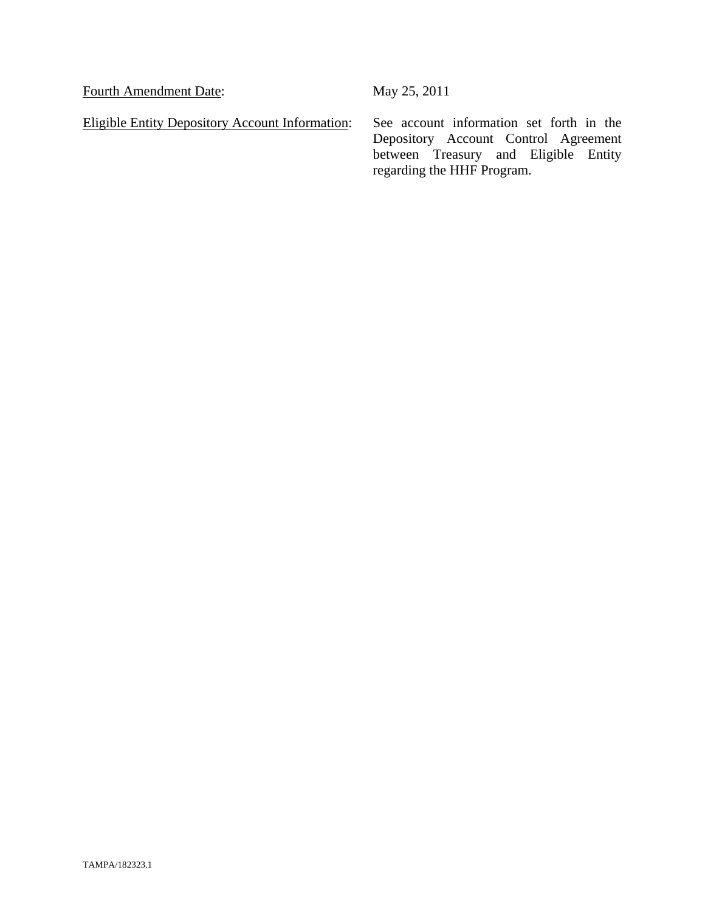Fourth Amendment Date: May 25, 2011

Eligible Entity Depository Account Information: See account information set forth in the

Depository Account Control Agreement between Treasury and Eligible Entity regarding the HHF Program.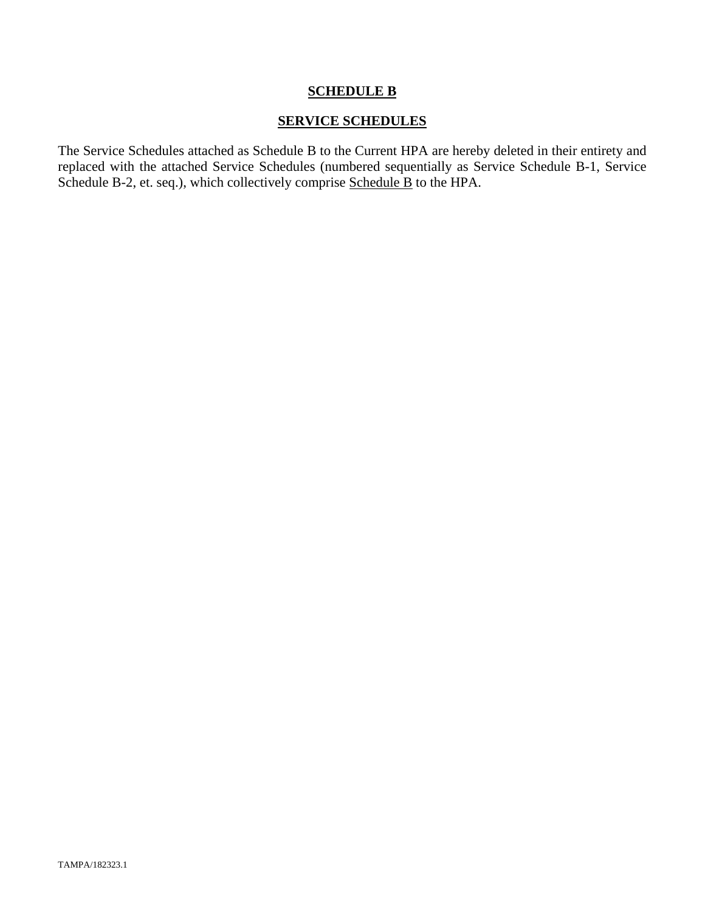### **SCHEDULE B**

### **SERVICE SCHEDULES**

The Service Schedules attached as Schedule B to the Current HPA are hereby deleted in their entirety and replaced with the attached Service Schedules (numbered sequentially as Service Schedule B-1, Service Schedule B-2, et. seq.), which collectively comprise Schedule B to the HPA.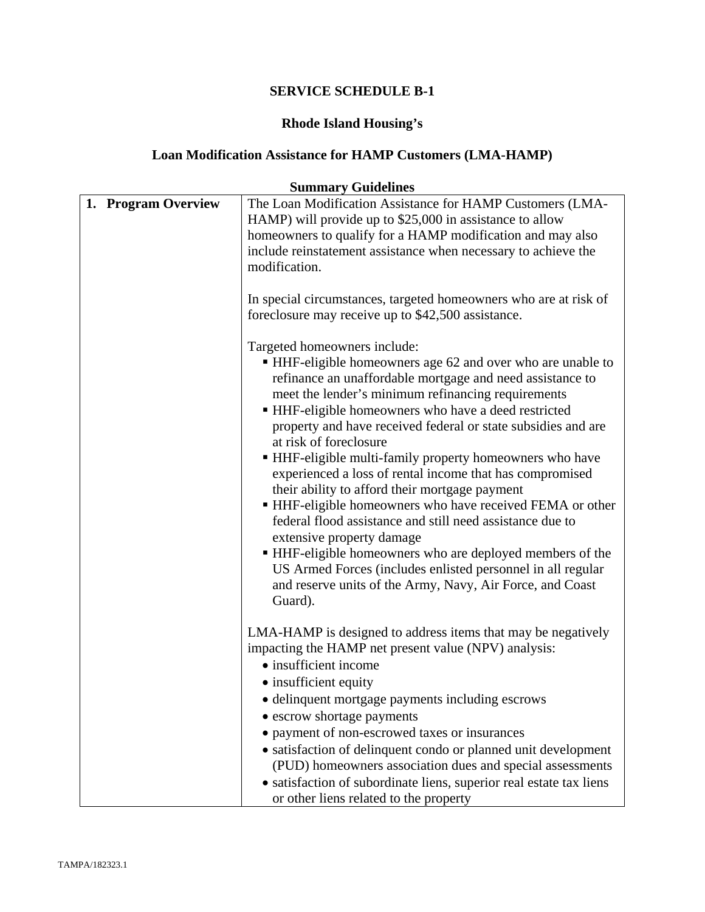# **Rhode Island Housing's**

# **Loan Modification Assistance for HAMP Customers (LMA-HAMP)**

| <b>Summary Guidelines</b> |                                                                                                                                                                                                                                                                                                                                                                                                                                                                                                                                                                                                                                                                                                                                                                                                                                                                                                      |  |  |
|---------------------------|------------------------------------------------------------------------------------------------------------------------------------------------------------------------------------------------------------------------------------------------------------------------------------------------------------------------------------------------------------------------------------------------------------------------------------------------------------------------------------------------------------------------------------------------------------------------------------------------------------------------------------------------------------------------------------------------------------------------------------------------------------------------------------------------------------------------------------------------------------------------------------------------------|--|--|
| 1. Program Overview       | The Loan Modification Assistance for HAMP Customers (LMA-<br>HAMP) will provide up to \$25,000 in assistance to allow<br>homeowners to qualify for a HAMP modification and may also<br>include reinstatement assistance when necessary to achieve the<br>modification.                                                                                                                                                                                                                                                                                                                                                                                                                                                                                                                                                                                                                               |  |  |
|                           | In special circumstances, targeted homeowners who are at risk of<br>foreclosure may receive up to \$42,500 assistance.                                                                                                                                                                                                                                                                                                                                                                                                                                                                                                                                                                                                                                                                                                                                                                               |  |  |
|                           | Targeted homeowners include:<br>• HHF-eligible homeowners age 62 and over who are unable to<br>refinance an unaffordable mortgage and need assistance to<br>meet the lender's minimum refinancing requirements<br>HHF-eligible homeowners who have a deed restricted<br>property and have received federal or state subsidies and are<br>at risk of foreclosure<br>• HHF-eligible multi-family property homeowners who have<br>experienced a loss of rental income that has compromised<br>their ability to afford their mortgage payment<br>• HHF-eligible homeowners who have received FEMA or other<br>federal flood assistance and still need assistance due to<br>extensive property damage<br>■ HHF-eligible homeowners who are deployed members of the<br>US Armed Forces (includes enlisted personnel in all regular<br>and reserve units of the Army, Navy, Air Force, and Coast<br>Guard). |  |  |
|                           | LMA-HAMP is designed to address items that may be negatively<br>impacting the HAMP net present value (NPV) analysis:<br>• insufficient income<br>• insufficient equity<br>• delinquent mortgage payments including escrows<br>• escrow shortage payments<br>payment of non-escrowed taxes or insurances<br>· satisfaction of delinquent condo or planned unit development                                                                                                                                                                                                                                                                                                                                                                                                                                                                                                                            |  |  |
|                           | (PUD) homeowners association dues and special assessments<br>• satisfaction of subordinate liens, superior real estate tax liens<br>or other liens related to the property                                                                                                                                                                                                                                                                                                                                                                                                                                                                                                                                                                                                                                                                                                                           |  |  |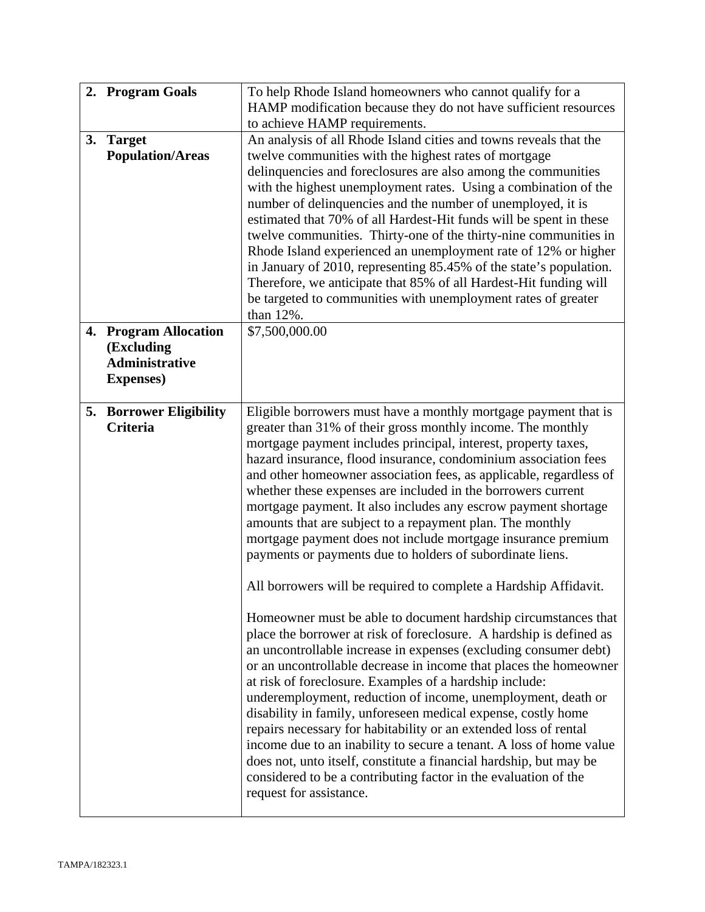|    | 2. Program Goals                         | To help Rhode Island homeowners who cannot qualify for a                                                                              |
|----|------------------------------------------|---------------------------------------------------------------------------------------------------------------------------------------|
|    |                                          | HAMP modification because they do not have sufficient resources                                                                       |
|    |                                          | to achieve HAMP requirements.<br>An analysis of all Rhode Island cities and towns reveals that the                                    |
| 3. | <b>Target</b><br><b>Population/Areas</b> | twelve communities with the highest rates of mortgage                                                                                 |
|    |                                          | delinquencies and foreclosures are also among the communities                                                                         |
|    |                                          | with the highest unemployment rates. Using a combination of the                                                                       |
|    |                                          | number of delinquencies and the number of unemployed, it is                                                                           |
|    |                                          | estimated that 70% of all Hardest-Hit funds will be spent in these                                                                    |
|    |                                          | twelve communities. Thirty-one of the thirty-nine communities in                                                                      |
|    |                                          | Rhode Island experienced an unemployment rate of 12% or higher                                                                        |
|    |                                          | in January of 2010, representing 85.45% of the state's population.                                                                    |
|    |                                          | Therefore, we anticipate that 85% of all Hardest-Hit funding will                                                                     |
|    |                                          | be targeted to communities with unemployment rates of greater                                                                         |
|    |                                          | than 12%.                                                                                                                             |
|    | 4. Program Allocation                    | \$7,500,000.00                                                                                                                        |
|    | (Excluding                               |                                                                                                                                       |
|    | <b>Administrative</b>                    |                                                                                                                                       |
|    | <b>Expenses</b> )                        |                                                                                                                                       |
|    | 5. Borrower Eligibility                  | Eligible borrowers must have a monthly mortgage payment that is                                                                       |
|    | Criteria                                 | greater than 31% of their gross monthly income. The monthly                                                                           |
|    |                                          | mortgage payment includes principal, interest, property taxes,                                                                        |
|    |                                          | hazard insurance, flood insurance, condominium association fees                                                                       |
|    |                                          | and other homeowner association fees, as applicable, regardless of                                                                    |
|    |                                          | whether these expenses are included in the borrowers current                                                                          |
|    |                                          | mortgage payment. It also includes any escrow payment shortage                                                                        |
|    |                                          | amounts that are subject to a repayment plan. The monthly                                                                             |
|    |                                          | mortgage payment does not include mortgage insurance premium                                                                          |
|    |                                          | payments or payments due to holders of subordinate liens.                                                                             |
|    |                                          | All borrowers will be required to complete a Hardship Affidavit.                                                                      |
|    |                                          |                                                                                                                                       |
|    |                                          | Homeowner must be able to document hardship circumstances that<br>place the borrower at risk of foreclosure. A hardship is defined as |
|    |                                          | an uncontrollable increase in expenses (excluding consumer debt)                                                                      |
|    |                                          | or an uncontrollable decrease in income that places the homeowner                                                                     |
|    |                                          | at risk of foreclosure. Examples of a hardship include:                                                                               |
|    |                                          | underemployment, reduction of income, unemployment, death or                                                                          |
|    |                                          | disability in family, unforeseen medical expense, costly home                                                                         |
|    |                                          | repairs necessary for habitability or an extended loss of rental                                                                      |
|    |                                          | income due to an inability to secure a tenant. A loss of home value                                                                   |
|    |                                          | does not, unto itself, constitute a financial hardship, but may be                                                                    |
|    |                                          | considered to be a contributing factor in the evaluation of the                                                                       |
|    |                                          | request for assistance.                                                                                                               |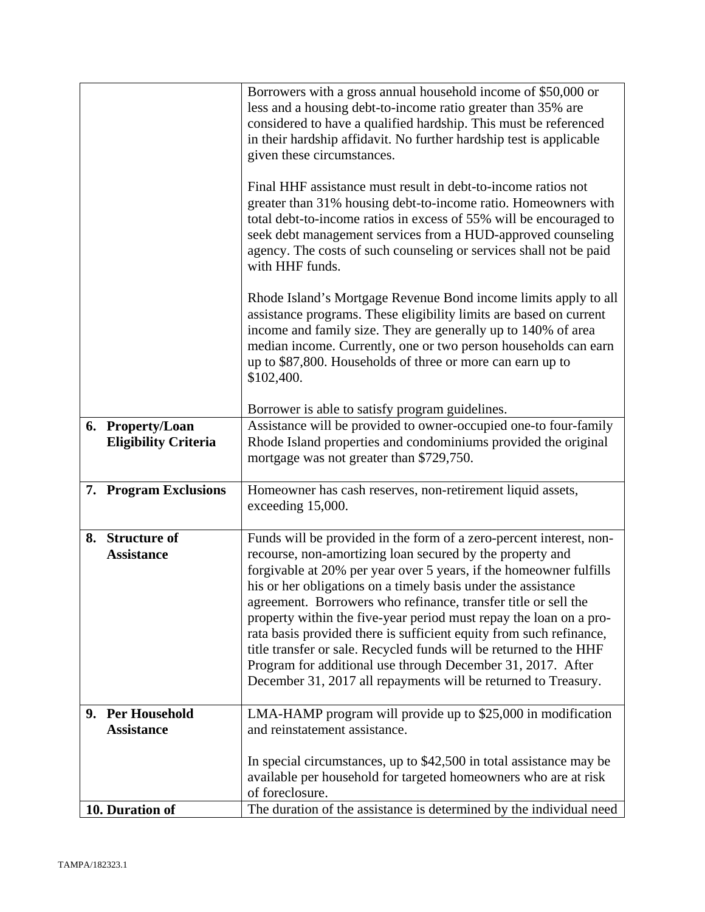|                                                 | Borrowers with a gross annual household income of \$50,000 or<br>less and a housing debt-to-income ratio greater than 35% are<br>considered to have a qualified hardship. This must be referenced<br>in their hardship affidavit. No further hardship test is applicable                                                                                                                                                                                                                                                                                                                                                                                                                      |
|-------------------------------------------------|-----------------------------------------------------------------------------------------------------------------------------------------------------------------------------------------------------------------------------------------------------------------------------------------------------------------------------------------------------------------------------------------------------------------------------------------------------------------------------------------------------------------------------------------------------------------------------------------------------------------------------------------------------------------------------------------------|
|                                                 | given these circumstances.<br>Final HHF assistance must result in debt-to-income ratios not<br>greater than 31% housing debt-to-income ratio. Homeowners with<br>total debt-to-income ratios in excess of 55% will be encouraged to<br>seek debt management services from a HUD-approved counseling<br>agency. The costs of such counseling or services shall not be paid<br>with HHF funds.                                                                                                                                                                                                                                                                                                  |
|                                                 | Rhode Island's Mortgage Revenue Bond income limits apply to all<br>assistance programs. These eligibility limits are based on current<br>income and family size. They are generally up to 140% of area<br>median income. Currently, one or two person households can earn<br>up to \$87,800. Households of three or more can earn up to<br>\$102,400.                                                                                                                                                                                                                                                                                                                                         |
|                                                 | Borrower is able to satisfy program guidelines.                                                                                                                                                                                                                                                                                                                                                                                                                                                                                                                                                                                                                                               |
| 6. Property/Loan<br><b>Eligibility Criteria</b> | Assistance will be provided to owner-occupied one-to four-family<br>Rhode Island properties and condominiums provided the original<br>mortgage was not greater than \$729,750.                                                                                                                                                                                                                                                                                                                                                                                                                                                                                                                |
| 7. Program Exclusions                           | Homeowner has cash reserves, non-retirement liquid assets,<br>exceeding 15,000.                                                                                                                                                                                                                                                                                                                                                                                                                                                                                                                                                                                                               |
| 8. Structure of<br><b>Assistance</b>            | Funds will be provided in the form of a zero-percent interest, non-<br>recourse, non-amortizing loan secured by the property and<br>forgivable at 20% per year over 5 years, if the homeowner fulfills<br>his or her obligations on a timely basis under the assistance<br>agreement. Borrowers who refinance, transfer title or sell the<br>property within the five-year period must repay the loan on a pro-<br>rata basis provided there is sufficient equity from such refinance,<br>title transfer or sale. Recycled funds will be returned to the HHF<br>Program for additional use through December 31, 2017. After<br>December 31, 2017 all repayments will be returned to Treasury. |
| 9. Per Household<br><b>Assistance</b>           | LMA-HAMP program will provide up to \$25,000 in modification<br>and reinstatement assistance.                                                                                                                                                                                                                                                                                                                                                                                                                                                                                                                                                                                                 |
|                                                 | In special circumstances, up to \$42,500 in total assistance may be<br>available per household for targeted homeowners who are at risk<br>of foreclosure.                                                                                                                                                                                                                                                                                                                                                                                                                                                                                                                                     |
| 10. Duration of                                 | The duration of the assistance is determined by the individual need                                                                                                                                                                                                                                                                                                                                                                                                                                                                                                                                                                                                                           |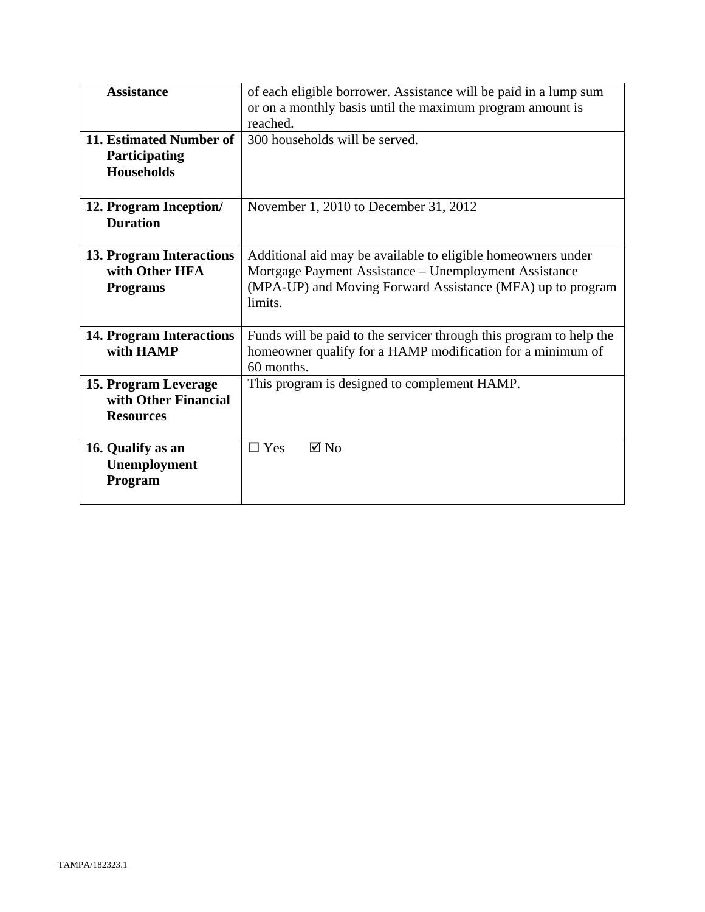| <b>Assistance</b>               | of each eligible borrower. Assistance will be paid in a lump sum    |  |
|---------------------------------|---------------------------------------------------------------------|--|
|                                 | or on a monthly basis until the maximum program amount is           |  |
|                                 | reached.                                                            |  |
| 11. Estimated Number of         | 300 households will be served.                                      |  |
|                                 |                                                                     |  |
| Participating                   |                                                                     |  |
| <b>Households</b>               |                                                                     |  |
|                                 |                                                                     |  |
| 12. Program Inception/          | November 1, 2010 to December 31, 2012                               |  |
| <b>Duration</b>                 |                                                                     |  |
|                                 |                                                                     |  |
|                                 |                                                                     |  |
| 13. Program Interactions        | Additional aid may be available to eligible homeowners under        |  |
| with Other HFA                  | Mortgage Payment Assistance – Unemployment Assistance               |  |
| <b>Programs</b>                 | (MPA-UP) and Moving Forward Assistance (MFA) up to program          |  |
|                                 | limits.                                                             |  |
|                                 |                                                                     |  |
|                                 |                                                                     |  |
| <b>14. Program Interactions</b> | Funds will be paid to the servicer through this program to help the |  |
| with HAMP                       | homeowner qualify for a HAMP modification for a minimum of          |  |
|                                 | 60 months.                                                          |  |
| 15. Program Leverage            | This program is designed to complement HAMP.                        |  |
| with Other Financial            |                                                                     |  |
|                                 |                                                                     |  |
| <b>Resources</b>                |                                                                     |  |
|                                 |                                                                     |  |
| 16. Qualify as an               | $\boxtimes$ No<br>$\Box$ Yes                                        |  |
| Unemployment                    |                                                                     |  |
| Program                         |                                                                     |  |
|                                 |                                                                     |  |
|                                 |                                                                     |  |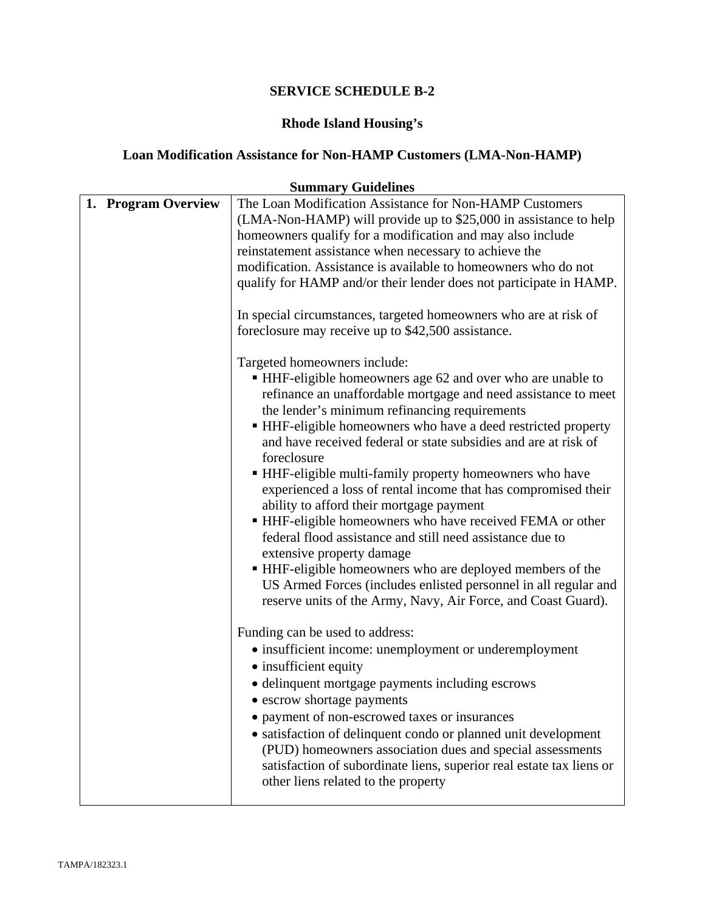# **Rhode Island Housing's**

# **Loan Modification Assistance for Non-HAMP Customers (LMA-Non-HAMP)**

|                     | <b>Summary Guidelines</b>                                                                                                                                                                                                                                                                                                                                                                                                                                                                                                                                                                                                                                                                                                                                                                                                                                                                           |
|---------------------|-----------------------------------------------------------------------------------------------------------------------------------------------------------------------------------------------------------------------------------------------------------------------------------------------------------------------------------------------------------------------------------------------------------------------------------------------------------------------------------------------------------------------------------------------------------------------------------------------------------------------------------------------------------------------------------------------------------------------------------------------------------------------------------------------------------------------------------------------------------------------------------------------------|
| 1. Program Overview | The Loan Modification Assistance for Non-HAMP Customers<br>(LMA-Non-HAMP) will provide up to \$25,000 in assistance to help<br>homeowners qualify for a modification and may also include<br>reinstatement assistance when necessary to achieve the<br>modification. Assistance is available to homeowners who do not<br>qualify for HAMP and/or their lender does not participate in HAMP.<br>In special circumstances, targeted homeowners who are at risk of                                                                                                                                                                                                                                                                                                                                                                                                                                     |
|                     | foreclosure may receive up to \$42,500 assistance.                                                                                                                                                                                                                                                                                                                                                                                                                                                                                                                                                                                                                                                                                                                                                                                                                                                  |
|                     | Targeted homeowners include:<br>• HHF-eligible homeowners age 62 and over who are unable to<br>refinance an unaffordable mortgage and need assistance to meet<br>the lender's minimum refinancing requirements<br>• HHF-eligible homeowners who have a deed restricted property<br>and have received federal or state subsidies and are at risk of<br>foreclosure<br>■ HHF-eligible multi-family property homeowners who have<br>experienced a loss of rental income that has compromised their<br>ability to afford their mortgage payment<br>• HHF-eligible homeowners who have received FEMA or other<br>federal flood assistance and still need assistance due to<br>extensive property damage<br>■ HHF-eligible homeowners who are deployed members of the<br>US Armed Forces (includes enlisted personnel in all regular and<br>reserve units of the Army, Navy, Air Force, and Coast Guard). |
|                     | Funding can be used to address:<br>• insufficient income: unemployment or underemployment<br>• insufficient equity<br>• delinquent mortgage payments including escrows<br>• escrow shortage payments<br>• payment of non-escrowed taxes or insurances                                                                                                                                                                                                                                                                                                                                                                                                                                                                                                                                                                                                                                               |
|                     | • satisfaction of delinquent condo or planned unit development<br>(PUD) homeowners association dues and special assessments<br>satisfaction of subordinate liens, superior real estate tax liens or<br>other liens related to the property                                                                                                                                                                                                                                                                                                                                                                                                                                                                                                                                                                                                                                                          |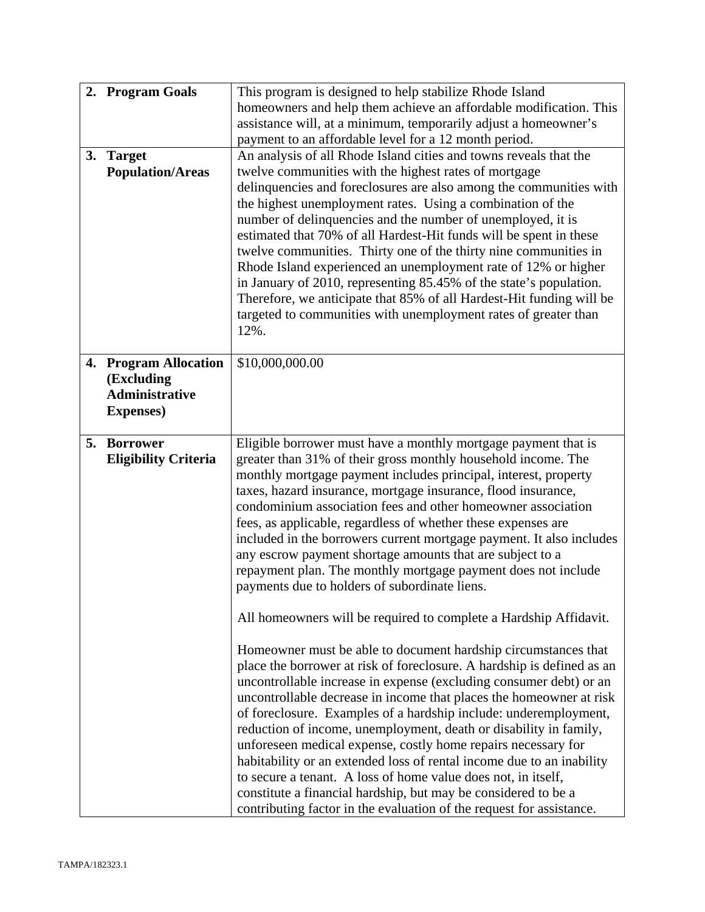|    | 2. Program Goals<br>3. Target<br><b>Population/Areas</b>                              | This program is designed to help stabilize Rhode Island<br>homeowners and help them achieve an affordable modification. This<br>assistance will, at a minimum, temporarily adjust a homeowner's<br>payment to an affordable level for a 12 month period.<br>An analysis of all Rhode Island cities and towns reveals that the<br>twelve communities with the highest rates of mortgage<br>delinquencies and foreclosures are also among the communities with<br>the highest unemployment rates. Using a combination of the<br>number of delinquencies and the number of unemployed, it is<br>estimated that 70% of all Hardest-Hit funds will be spent in these<br>twelve communities. Thirty one of the thirty nine communities in<br>Rhode Island experienced an unemployment rate of 12% or higher<br>in January of 2010, representing 85.45% of the state's population.<br>Therefore, we anticipate that 85% of all Hardest-Hit funding will be<br>targeted to communities with unemployment rates of greater than<br>12%.                                                                                                                                                                                                                                                                                                                                                                                                                  |
|----|---------------------------------------------------------------------------------------|-------------------------------------------------------------------------------------------------------------------------------------------------------------------------------------------------------------------------------------------------------------------------------------------------------------------------------------------------------------------------------------------------------------------------------------------------------------------------------------------------------------------------------------------------------------------------------------------------------------------------------------------------------------------------------------------------------------------------------------------------------------------------------------------------------------------------------------------------------------------------------------------------------------------------------------------------------------------------------------------------------------------------------------------------------------------------------------------------------------------------------------------------------------------------------------------------------------------------------------------------------------------------------------------------------------------------------------------------------------------------------------------------------------------------------------------------|
| 4. | <b>Program Allocation</b><br>(Excluding<br><b>Administrative</b><br><b>Expenses</b> ) | \$10,000,000.00                                                                                                                                                                                                                                                                                                                                                                                                                                                                                                                                                                                                                                                                                                                                                                                                                                                                                                                                                                                                                                                                                                                                                                                                                                                                                                                                                                                                                                 |
|    | 5. Borrower<br><b>Eligibility Criteria</b>                                            | Eligible borrower must have a monthly mortgage payment that is<br>greater than 31% of their gross monthly household income. The<br>monthly mortgage payment includes principal, interest, property<br>taxes, hazard insurance, mortgage insurance, flood insurance,<br>condominium association fees and other homeowner association<br>fees, as applicable, regardless of whether these expenses are<br>included in the borrowers current mortgage payment. It also includes<br>any escrow payment shortage amounts that are subject to a<br>repayment plan. The monthly mortgage payment does not include<br>payments due to holders of subordinate liens.<br>All homeowners will be required to complete a Hardship Affidavit.<br>Homeowner must be able to document hardship circumstances that<br>place the borrower at risk of foreclosure. A hardship is defined as an<br>uncontrollable increase in expense (excluding consumer debt) or an<br>uncontrollable decrease in income that places the homeowner at risk<br>of foreclosure. Examples of a hardship include: underemployment,<br>reduction of income, unemployment, death or disability in family,<br>unforeseen medical expense, costly home repairs necessary for<br>habitability or an extended loss of rental income due to an inability<br>to secure a tenant. A loss of home value does not, in itself,<br>constitute a financial hardship, but may be considered to be a |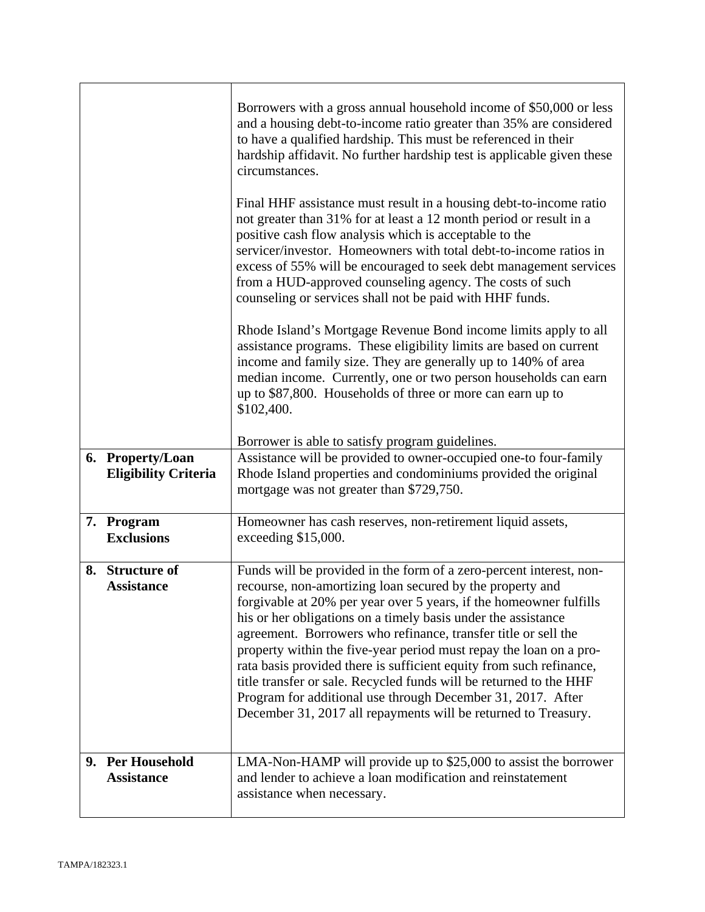|                                                 | Borrowers with a gross annual household income of \$50,000 or less<br>and a housing debt-to-income ratio greater than 35% are considered<br>to have a qualified hardship. This must be referenced in their<br>hardship affidavit. No further hardship test is applicable given these<br>circumstances.                                                                                                                                                                                                                                                                                                                                                                                        |
|-------------------------------------------------|-----------------------------------------------------------------------------------------------------------------------------------------------------------------------------------------------------------------------------------------------------------------------------------------------------------------------------------------------------------------------------------------------------------------------------------------------------------------------------------------------------------------------------------------------------------------------------------------------------------------------------------------------------------------------------------------------|
|                                                 | Final HHF assistance must result in a housing debt-to-income ratio<br>not greater than 31% for at least a 12 month period or result in a<br>positive cash flow analysis which is acceptable to the<br>servicer/investor. Homeowners with total debt-to-income ratios in<br>excess of 55% will be encouraged to seek debt management services<br>from a HUD-approved counseling agency. The costs of such<br>counseling or services shall not be paid with HHF funds.                                                                                                                                                                                                                          |
|                                                 | Rhode Island's Mortgage Revenue Bond income limits apply to all<br>assistance programs. These eligibility limits are based on current<br>income and family size. They are generally up to 140% of area<br>median income. Currently, one or two person households can earn<br>up to \$87,800. Households of three or more can earn up to<br>\$102,400.                                                                                                                                                                                                                                                                                                                                         |
|                                                 | Borrower is able to satisfy program guidelines.                                                                                                                                                                                                                                                                                                                                                                                                                                                                                                                                                                                                                                               |
| 6. Property/Loan<br><b>Eligibility Criteria</b> | Assistance will be provided to owner-occupied one-to four-family<br>Rhode Island properties and condominiums provided the original<br>mortgage was not greater than \$729,750.                                                                                                                                                                                                                                                                                                                                                                                                                                                                                                                |
| 7. Program<br><b>Exclusions</b>                 | Homeowner has cash reserves, non-retirement liquid assets,<br>exceeding \$15,000.                                                                                                                                                                                                                                                                                                                                                                                                                                                                                                                                                                                                             |
| 8. Structure of<br><b>Assistance</b>            | Funds will be provided in the form of a zero-percent interest, non-<br>recourse, non-amortizing loan secured by the property and<br>forgivable at 20% per year over 5 years, if the homeowner fulfills<br>his or her obligations on a timely basis under the assistance<br>agreement. Borrowers who refinance, transfer title or sell the<br>property within the five-year period must repay the loan on a pro-<br>rata basis provided there is sufficient equity from such refinance,<br>title transfer or sale. Recycled funds will be returned to the HHF<br>Program for additional use through December 31, 2017. After<br>December 31, 2017 all repayments will be returned to Treasury. |
| 9. Per Household<br><b>Assistance</b>           | LMA-Non-HAMP will provide up to \$25,000 to assist the borrower<br>and lender to achieve a loan modification and reinstatement<br>assistance when necessary.                                                                                                                                                                                                                                                                                                                                                                                                                                                                                                                                  |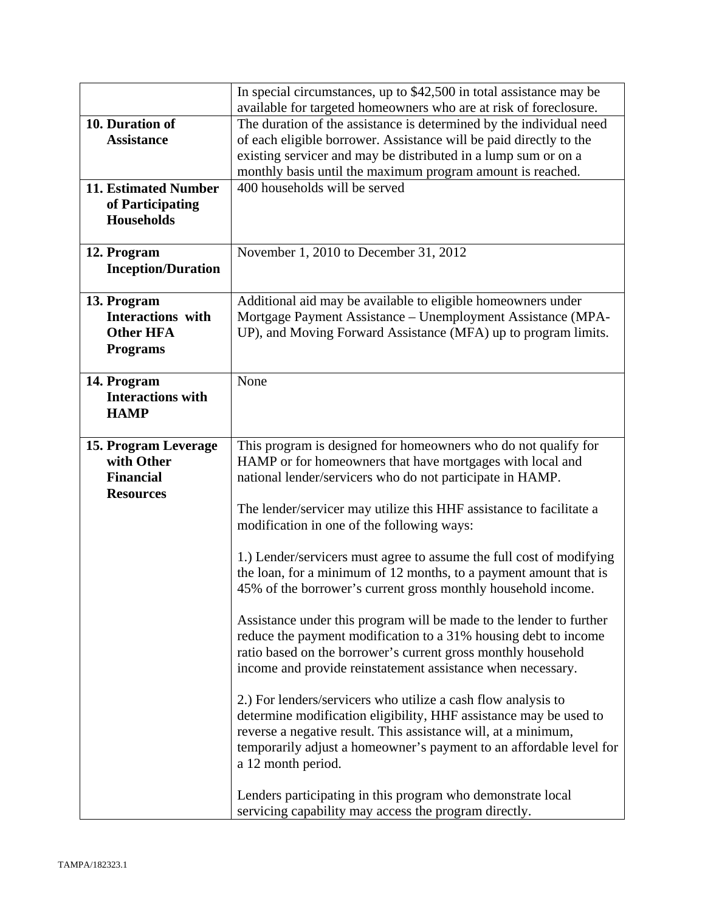|                             | In special circumstances, up to \$42,500 in total assistance may be<br>available for targeted homeowners who are at risk of foreclosure. |
|-----------------------------|------------------------------------------------------------------------------------------------------------------------------------------|
| 10. Duration of             | The duration of the assistance is determined by the individual need                                                                      |
| <b>Assistance</b>           | of each eligible borrower. Assistance will be paid directly to the                                                                       |
|                             | existing servicer and may be distributed in a lump sum or on a                                                                           |
|                             | monthly basis until the maximum program amount is reached.                                                                               |
| <b>11. Estimated Number</b> | 400 households will be served                                                                                                            |
| of Participating            |                                                                                                                                          |
| <b>Households</b>           |                                                                                                                                          |
|                             |                                                                                                                                          |
| 12. Program                 | November 1, 2010 to December 31, 2012                                                                                                    |
| <b>Inception/Duration</b>   |                                                                                                                                          |
|                             |                                                                                                                                          |
| 13. Program                 | Additional aid may be available to eligible homeowners under                                                                             |
| <b>Interactions</b> with    | Mortgage Payment Assistance – Unemployment Assistance (MPA-                                                                              |
| <b>Other HFA</b>            | UP), and Moving Forward Assistance (MFA) up to program limits.                                                                           |
| <b>Programs</b>             |                                                                                                                                          |
|                             |                                                                                                                                          |
| 14. Program                 | None                                                                                                                                     |
| <b>Interactions with</b>    |                                                                                                                                          |
| <b>HAMP</b>                 |                                                                                                                                          |
|                             |                                                                                                                                          |
| 15. Program Leverage        | This program is designed for homeowners who do not qualify for                                                                           |
| with Other                  | HAMP or for homeowners that have mortgages with local and                                                                                |
| <b>Financial</b>            | national lender/servicers who do not participate in HAMP.                                                                                |
| <b>Resources</b>            |                                                                                                                                          |
|                             | The lender/servicer may utilize this HHF assistance to facilitate a                                                                      |
|                             | modification in one of the following ways:                                                                                               |
|                             |                                                                                                                                          |
|                             | 1.) Lender/servicers must agree to assume the full cost of modifying                                                                     |
|                             | the loan, for a minimum of 12 months, to a payment amount that is                                                                        |
|                             | 45% of the borrower's current gross monthly household income.                                                                            |
|                             |                                                                                                                                          |
|                             | Assistance under this program will be made to the lender to further                                                                      |
|                             | reduce the payment modification to a 31% housing debt to income                                                                          |
|                             | ratio based on the borrower's current gross monthly household                                                                            |
|                             | income and provide reinstatement assistance when necessary.                                                                              |
|                             |                                                                                                                                          |
|                             | 2.) For lenders/servicers who utilize a cash flow analysis to                                                                            |
|                             | determine modification eligibility, HHF assistance may be used to                                                                        |
|                             | reverse a negative result. This assistance will, at a minimum,                                                                           |
|                             | temporarily adjust a homeowner's payment to an affordable level for                                                                      |
|                             | a 12 month period.                                                                                                                       |
|                             |                                                                                                                                          |
|                             | Lenders participating in this program who demonstrate local                                                                              |
|                             | servicing capability may access the program directly.                                                                                    |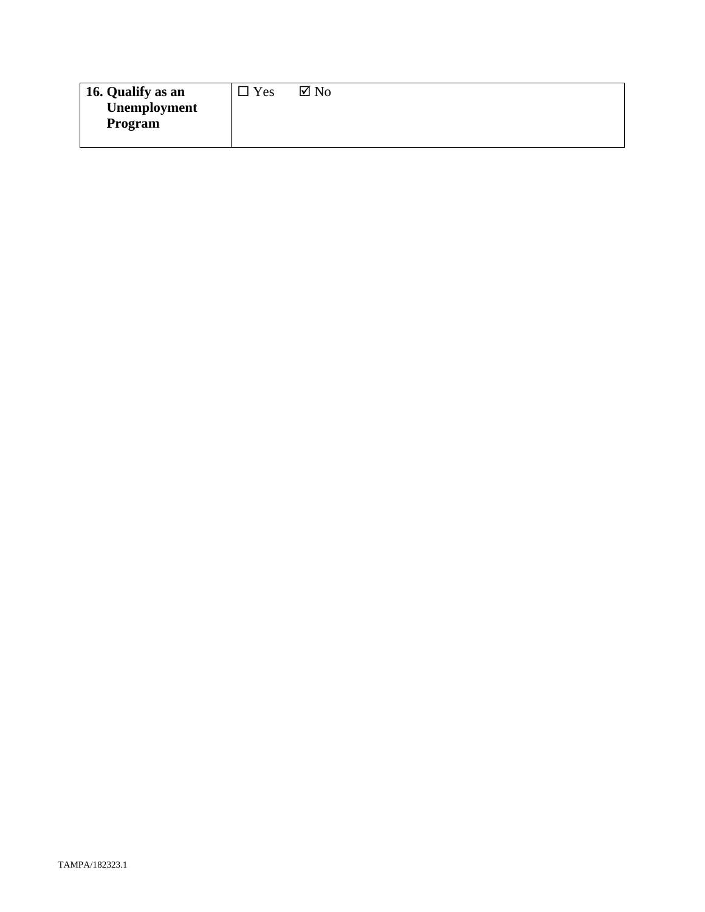| 16. Qualify as an | Yes | $\boxtimes$ No |
|-------------------|-----|----------------|
| Unemployment      |     |                |
| <b>Program</b>    |     |                |
|                   |     |                |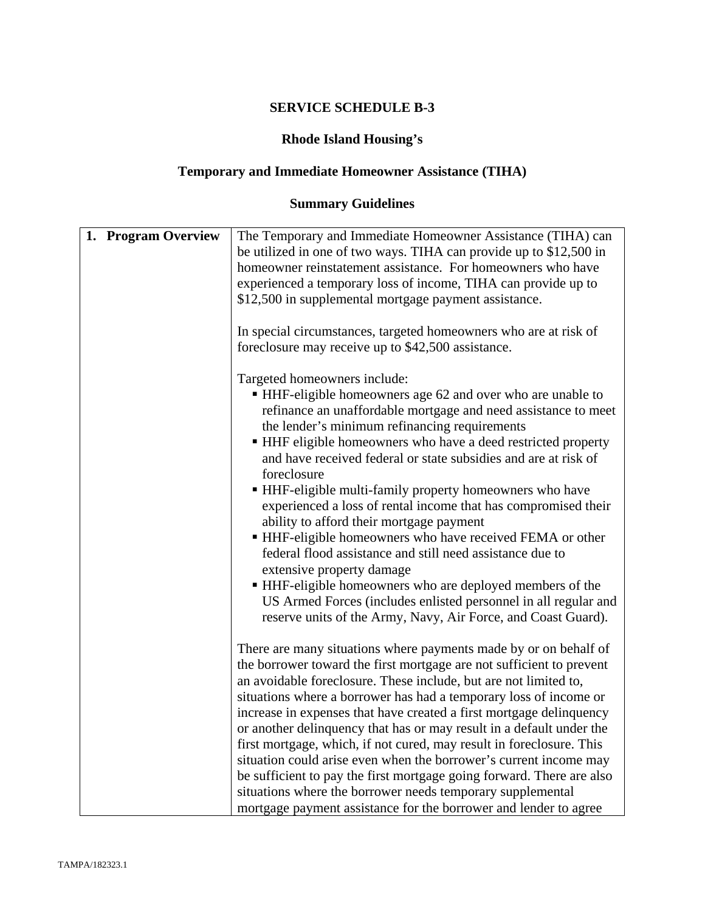# **Rhode Island Housing's**

# **Temporary and Immediate Homeowner Assistance (TIHA)**

# **Summary Guidelines**

| 1. Program Overview | The Temporary and Immediate Homeowner Assistance (TIHA) can<br>be utilized in one of two ways. TIHA can provide up to \$12,500 in<br>homeowner reinstatement assistance. For homeowners who have<br>experienced a temporary loss of income, TIHA can provide up to<br>\$12,500 in supplemental mortgage payment assistance.<br>In special circumstances, targeted homeowners who are at risk of<br>foreclosure may receive up to \$42,500 assistance.                                                                                                                                                                                                                                                                                                                                                                                                                                           |
|---------------------|-------------------------------------------------------------------------------------------------------------------------------------------------------------------------------------------------------------------------------------------------------------------------------------------------------------------------------------------------------------------------------------------------------------------------------------------------------------------------------------------------------------------------------------------------------------------------------------------------------------------------------------------------------------------------------------------------------------------------------------------------------------------------------------------------------------------------------------------------------------------------------------------------|
|                     | Targeted homeowners include:<br>• HHF-eligible homeowners age 62 and over who are unable to<br>refinance an unaffordable mortgage and need assistance to meet<br>the lender's minimum refinancing requirements<br>• HHF eligible homeowners who have a deed restricted property<br>and have received federal or state subsidies and are at risk of<br>foreclosure<br>• HHF-eligible multi-family property homeowners who have<br>experienced a loss of rental income that has compromised their<br>ability to afford their mortgage payment<br>HHF-eligible homeowners who have received FEMA or other<br>federal flood assistance and still need assistance due to<br>extensive property damage<br>HHF-eligible homeowners who are deployed members of the<br>US Armed Forces (includes enlisted personnel in all regular and<br>reserve units of the Army, Navy, Air Force, and Coast Guard). |
|                     | There are many situations where payments made by or on behalf of<br>the borrower toward the first mortgage are not sufficient to prevent<br>an avoidable foreclosure. These include, but are not limited to,<br>situations where a borrower has had a temporary loss of income or<br>increase in expenses that have created a first mortgage delinquency<br>or another delinquency that has or may result in a default under the<br>first mortgage, which, if not cured, may result in foreclosure. This<br>situation could arise even when the borrower's current income may<br>be sufficient to pay the first mortgage going forward. There are also<br>situations where the borrower needs temporary supplemental<br>mortgage payment assistance for the borrower and lender to agree                                                                                                        |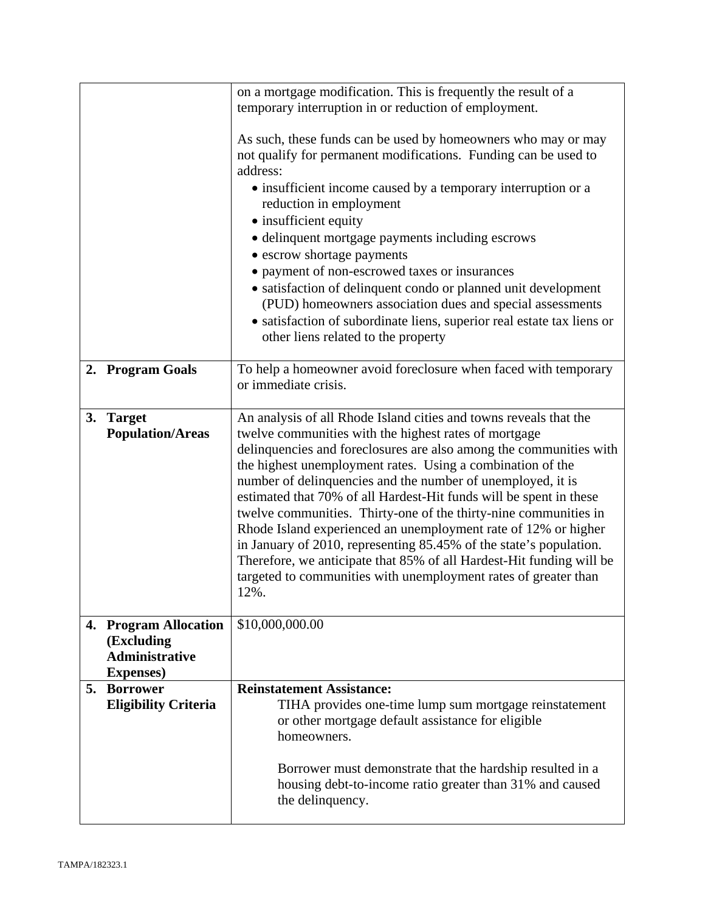|    |                                      | on a mortgage modification. This is frequently the result of a         |
|----|--------------------------------------|------------------------------------------------------------------------|
|    |                                      | temporary interruption in or reduction of employment.                  |
|    |                                      |                                                                        |
|    |                                      | As such, these funds can be used by homeowners who may or may          |
|    |                                      | not qualify for permanent modifications. Funding can be used to        |
|    |                                      | address:                                                               |
|    |                                      | • insufficient income caused by a temporary interruption or a          |
|    |                                      | reduction in employment                                                |
|    |                                      | • insufficient equity                                                  |
|    |                                      | · delinquent mortgage payments including escrows                       |
|    |                                      | • escrow shortage payments                                             |
|    |                                      | • payment of non-escrowed taxes or insurances                          |
|    |                                      | • satisfaction of delinquent condo or planned unit development         |
|    |                                      | (PUD) homeowners association dues and special assessments              |
|    |                                      | • satisfaction of subordinate liens, superior real estate tax liens or |
|    |                                      | other liens related to the property                                    |
|    |                                      |                                                                        |
|    | 2. Program Goals                     | To help a homeowner avoid foreclosure when faced with temporary        |
|    |                                      | or immediate crisis.                                                   |
|    |                                      |                                                                        |
| 3. | <b>Target</b>                        | An analysis of all Rhode Island cities and towns reveals that the      |
|    | <b>Population/Areas</b>              | twelve communities with the highest rates of mortgage                  |
|    |                                      | delinquencies and foreclosures are also among the communities with     |
|    |                                      | the highest unemployment rates. Using a combination of the             |
|    |                                      | number of delinquencies and the number of unemployed, it is            |
|    |                                      | estimated that 70% of all Hardest-Hit funds will be spent in these     |
|    |                                      | twelve communities. Thirty-one of the thirty-nine communities in       |
|    |                                      | Rhode Island experienced an unemployment rate of 12% or higher         |
|    |                                      | in January of 2010, representing 85.45% of the state's population.     |
|    |                                      | Therefore, we anticipate that 85% of all Hardest-Hit funding will be   |
|    |                                      | targeted to communities with unemployment rates of greater than        |
|    |                                      | 12%.                                                                   |
|    |                                      |                                                                        |
|    | 4. Program Allocation                | \$10,000,000.00                                                        |
|    | (Excluding<br><b>Administrative</b>  |                                                                        |
|    |                                      |                                                                        |
| 5. | <b>Expenses</b> )<br><b>Borrower</b> | <b>Reinstatement Assistance:</b>                                       |
|    | <b>Eligibility Criteria</b>          | TIHA provides one-time lump sum mortgage reinstatement                 |
|    |                                      | or other mortgage default assistance for eligible                      |
|    |                                      | homeowners.                                                            |
|    |                                      |                                                                        |
|    |                                      | Borrower must demonstrate that the hardship resulted in a              |
|    |                                      | housing debt-to-income ratio greater than 31% and caused               |
|    |                                      | the delinquency.                                                       |
|    |                                      |                                                                        |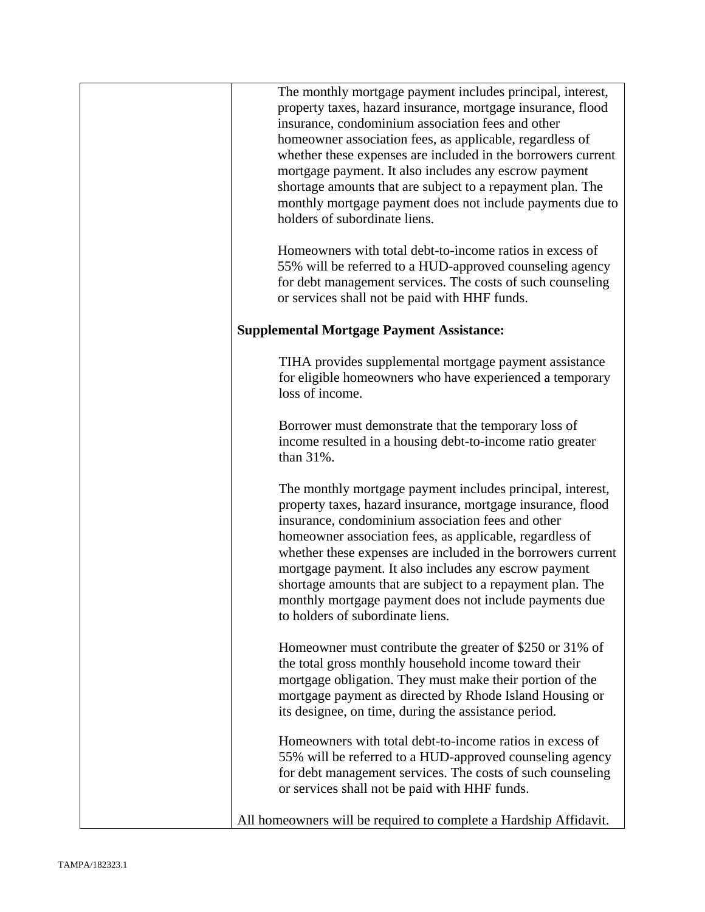| The monthly mortgage payment includes principal, interest,<br>property taxes, hazard insurance, mortgage insurance, flood<br>insurance, condominium association fees and other<br>homeowner association fees, as applicable, regardless of<br>whether these expenses are included in the borrowers current<br>mortgage payment. It also includes any escrow payment<br>shortage amounts that are subject to a repayment plan. The<br>monthly mortgage payment does not include payments due to<br>holders of subordinate liens. |
|---------------------------------------------------------------------------------------------------------------------------------------------------------------------------------------------------------------------------------------------------------------------------------------------------------------------------------------------------------------------------------------------------------------------------------------------------------------------------------------------------------------------------------|
| Homeowners with total debt-to-income ratios in excess of<br>55% will be referred to a HUD-approved counseling agency<br>for debt management services. The costs of such counseling<br>or services shall not be paid with HHF funds.                                                                                                                                                                                                                                                                                             |
| <b>Supplemental Mortgage Payment Assistance:</b>                                                                                                                                                                                                                                                                                                                                                                                                                                                                                |
| TIHA provides supplemental mortgage payment assistance<br>for eligible homeowners who have experienced a temporary<br>loss of income.                                                                                                                                                                                                                                                                                                                                                                                           |
| Borrower must demonstrate that the temporary loss of<br>income resulted in a housing debt-to-income ratio greater<br>than 31%.                                                                                                                                                                                                                                                                                                                                                                                                  |
| The monthly mortgage payment includes principal, interest,<br>property taxes, hazard insurance, mortgage insurance, flood<br>insurance, condominium association fees and other<br>homeowner association fees, as applicable, regardless of<br>whether these expenses are included in the borrowers current<br>mortgage payment. It also includes any escrow payment<br>shortage amounts that are subject to a repayment plan. The<br>monthly mortgage payment does not include payments due<br>to holders of subordinate liens. |
| Homeowner must contribute the greater of \$250 or 31% of<br>the total gross monthly household income toward their<br>mortgage obligation. They must make their portion of the<br>mortgage payment as directed by Rhode Island Housing or<br>its designee, on time, during the assistance period.                                                                                                                                                                                                                                |
| Homeowners with total debt-to-income ratios in excess of<br>55% will be referred to a HUD-approved counseling agency<br>for debt management services. The costs of such counseling<br>or services shall not be paid with HHF funds.                                                                                                                                                                                                                                                                                             |
| All homeowners will be required to complete a Hardship Affidavit.                                                                                                                                                                                                                                                                                                                                                                                                                                                               |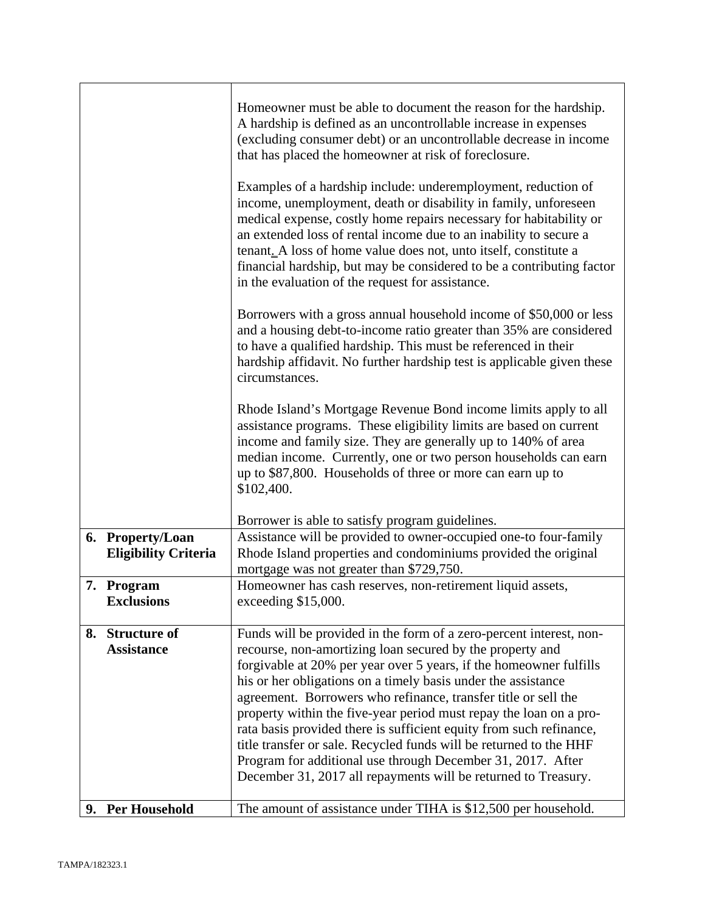|                                                 | Homeowner must be able to document the reason for the hardship.<br>A hardship is defined as an uncontrollable increase in expenses<br>(excluding consumer debt) or an uncontrollable decrease in income<br>that has placed the homeowner at risk of foreclosure.<br>Examples of a hardship include: underemployment, reduction of<br>income, unemployment, death or disability in family, unforeseen<br>medical expense, costly home repairs necessary for habitability or<br>an extended loss of rental income due to an inability to secure a<br>tenant. A loss of home value does not, unto itself, constitute a<br>financial hardship, but may be considered to be a contributing factor<br>in the evaluation of the request for assistance.<br>Borrowers with a gross annual household income of \$50,000 or less<br>and a housing debt-to-income ratio greater than 35% are considered<br>to have a qualified hardship. This must be referenced in their<br>hardship affidavit. No further hardship test is applicable given these<br>circumstances.<br>Rhode Island's Mortgage Revenue Bond income limits apply to all<br>assistance programs. These eligibility limits are based on current<br>income and family size. They are generally up to 140% of area<br>median income. Currently, one or two person households can earn<br>up to \$87,800. Households of three or more can earn up to<br>\$102,400. |
|-------------------------------------------------|---------------------------------------------------------------------------------------------------------------------------------------------------------------------------------------------------------------------------------------------------------------------------------------------------------------------------------------------------------------------------------------------------------------------------------------------------------------------------------------------------------------------------------------------------------------------------------------------------------------------------------------------------------------------------------------------------------------------------------------------------------------------------------------------------------------------------------------------------------------------------------------------------------------------------------------------------------------------------------------------------------------------------------------------------------------------------------------------------------------------------------------------------------------------------------------------------------------------------------------------------------------------------------------------------------------------------------------------------------------------------------------------------------------------|
| 6. Property/Loan<br><b>Eligibility Criteria</b> | Borrower is able to satisfy program guidelines.<br>Assistance will be provided to owner-occupied one-to four-family<br>Rhode Island properties and condominiums provided the original                                                                                                                                                                                                                                                                                                                                                                                                                                                                                                                                                                                                                                                                                                                                                                                                                                                                                                                                                                                                                                                                                                                                                                                                                               |
|                                                 | mortgage was not greater than \$729,750.                                                                                                                                                                                                                                                                                                                                                                                                                                                                                                                                                                                                                                                                                                                                                                                                                                                                                                                                                                                                                                                                                                                                                                                                                                                                                                                                                                            |
| 7. Program<br><b>Exclusions</b>                 | Homeowner has cash reserves, non-retirement liquid assets,<br>exceeding \$15,000.                                                                                                                                                                                                                                                                                                                                                                                                                                                                                                                                                                                                                                                                                                                                                                                                                                                                                                                                                                                                                                                                                                                                                                                                                                                                                                                                   |
| 8. Structure of<br><b>Assistance</b>            | Funds will be provided in the form of a zero-percent interest, non-<br>recourse, non-amortizing loan secured by the property and<br>forgivable at 20% per year over 5 years, if the homeowner fulfills<br>his or her obligations on a timely basis under the assistance<br>agreement. Borrowers who refinance, transfer title or sell the<br>property within the five-year period must repay the loan on a pro-<br>rata basis provided there is sufficient equity from such refinance,<br>title transfer or sale. Recycled funds will be returned to the HHF<br>Program for additional use through December 31, 2017. After<br>December 31, 2017 all repayments will be returned to Treasury.                                                                                                                                                                                                                                                                                                                                                                                                                                                                                                                                                                                                                                                                                                                       |
| 9. Per Household                                | The amount of assistance under TIHA is \$12,500 per household.                                                                                                                                                                                                                                                                                                                                                                                                                                                                                                                                                                                                                                                                                                                                                                                                                                                                                                                                                                                                                                                                                                                                                                                                                                                                                                                                                      |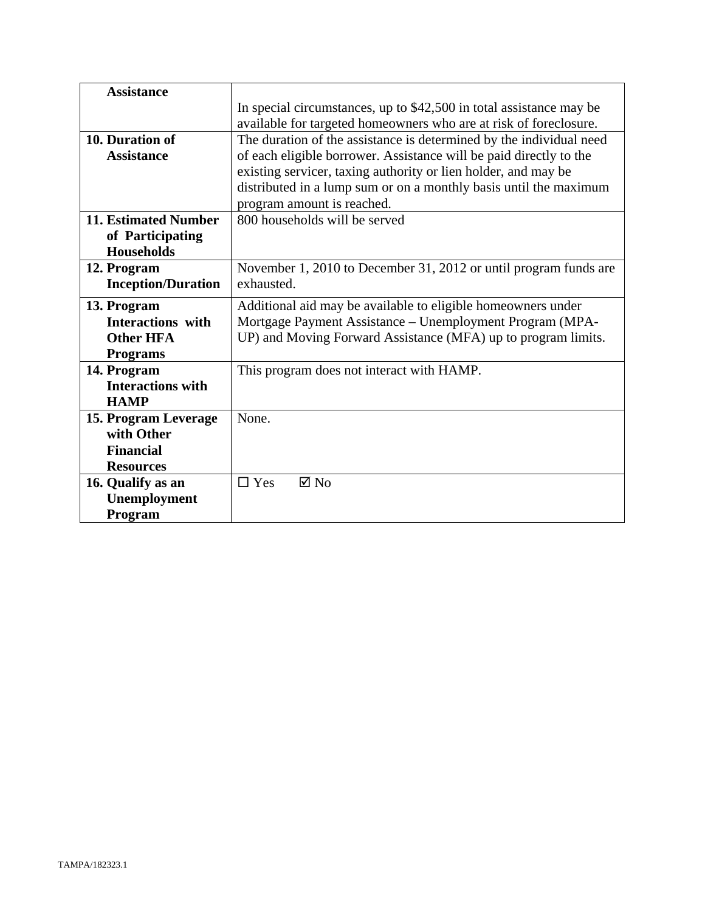| <b>Assistance</b>           |                                                                     |
|-----------------------------|---------------------------------------------------------------------|
|                             | In special circumstances, up to \$42,500 in total assistance may be |
|                             | available for targeted homeowners who are at risk of foreclosure.   |
| 10. Duration of             | The duration of the assistance is determined by the individual need |
| <b>Assistance</b>           | of each eligible borrower. Assistance will be paid directly to the  |
|                             | existing servicer, taxing authority or lien holder, and may be      |
|                             | distributed in a lump sum or on a monthly basis until the maximum   |
|                             | program amount is reached.                                          |
| <b>11. Estimated Number</b> | 800 households will be served                                       |
| of Participating            |                                                                     |
| <b>Households</b>           |                                                                     |
| 12. Program                 | November 1, 2010 to December 31, 2012 or until program funds are    |
| <b>Inception/Duration</b>   | exhausted.                                                          |
| 13. Program                 | Additional aid may be available to eligible homeowners under        |
| <b>Interactions</b> with    | Mortgage Payment Assistance - Unemployment Program (MPA-            |
| <b>Other HFA</b>            | UP) and Moving Forward Assistance (MFA) up to program limits.       |
| <b>Programs</b>             |                                                                     |
| 14. Program                 | This program does not interact with HAMP.                           |
| <b>Interactions with</b>    |                                                                     |
| <b>HAMP</b>                 |                                                                     |
| 15. Program Leverage        | None.                                                               |
| with Other                  |                                                                     |
| <b>Financial</b>            |                                                                     |
| <b>Resources</b>            |                                                                     |
| 16. Qualify as an           | $\Box$ Yes<br>$\boxtimes$ No                                        |
| Unemployment                |                                                                     |
| Program                     |                                                                     |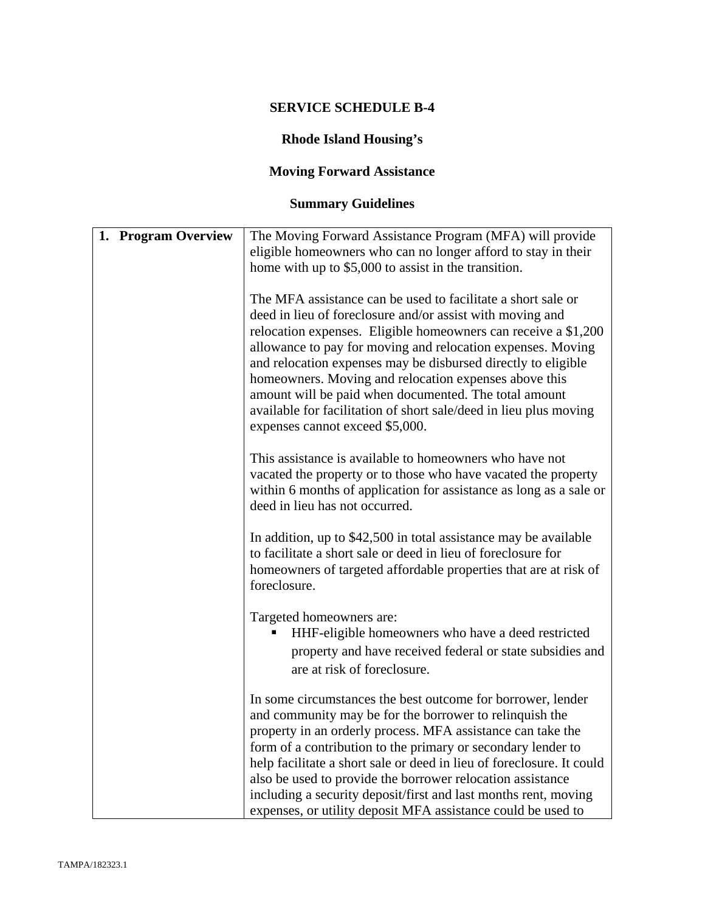# **Rhode Island Housing's**

# **Moving Forward Assistance**

# **Summary Guidelines**

| 1. Program Overview | The Moving Forward Assistance Program (MFA) will provide                                                                                                                                                                                                                                                                                                                                                                 |
|---------------------|--------------------------------------------------------------------------------------------------------------------------------------------------------------------------------------------------------------------------------------------------------------------------------------------------------------------------------------------------------------------------------------------------------------------------|
|                     | eligible homeowners who can no longer afford to stay in their<br>home with up to \$5,000 to assist in the transition.                                                                                                                                                                                                                                                                                                    |
|                     |                                                                                                                                                                                                                                                                                                                                                                                                                          |
|                     | The MFA assistance can be used to facilitate a short sale or<br>deed in lieu of foreclosure and/or assist with moving and                                                                                                                                                                                                                                                                                                |
|                     | relocation expenses. Eligible homeowners can receive a \$1,200<br>allowance to pay for moving and relocation expenses. Moving<br>and relocation expenses may be disbursed directly to eligible<br>homeowners. Moving and relocation expenses above this<br>amount will be paid when documented. The total amount<br>available for facilitation of short sale/deed in lieu plus moving<br>expenses cannot exceed \$5,000. |
|                     | This assistance is available to homeowners who have not<br>vacated the property or to those who have vacated the property<br>within 6 months of application for assistance as long as a sale or<br>deed in lieu has not occurred.                                                                                                                                                                                        |
|                     | In addition, up to \$42,500 in total assistance may be available<br>to facilitate a short sale or deed in lieu of foreclosure for<br>homeowners of targeted affordable properties that are at risk of<br>foreclosure.                                                                                                                                                                                                    |
|                     | Targeted homeowners are:<br>HHF-eligible homeowners who have a deed restricted<br>property and have received federal or state subsidies and<br>are at risk of foreclosure.                                                                                                                                                                                                                                               |
|                     | In some circumstances the best outcome for borrower, lender<br>and community may be for the borrower to relinquish the                                                                                                                                                                                                                                                                                                   |
|                     | property in an orderly process. MFA assistance can take the<br>form of a contribution to the primary or secondary lender to                                                                                                                                                                                                                                                                                              |
|                     | help facilitate a short sale or deed in lieu of foreclosure. It could                                                                                                                                                                                                                                                                                                                                                    |
|                     | also be used to provide the borrower relocation assistance<br>including a security deposit/first and last months rent, moving                                                                                                                                                                                                                                                                                            |
|                     | expenses, or utility deposit MFA assistance could be used to                                                                                                                                                                                                                                                                                                                                                             |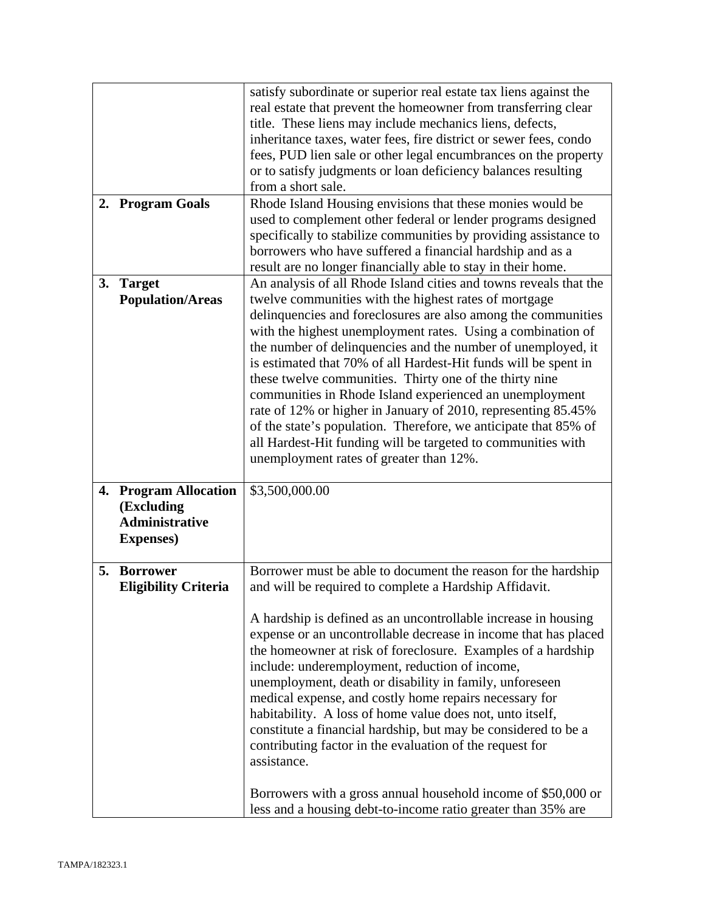|    |                             | satisfy subordinate or superior real estate tax liens against the                                                                 |
|----|-----------------------------|-----------------------------------------------------------------------------------------------------------------------------------|
|    |                             | real estate that prevent the homeowner from transferring clear                                                                    |
|    |                             | title. These liens may include mechanics liens, defects,                                                                          |
|    |                             | inheritance taxes, water fees, fire district or sewer fees, condo                                                                 |
|    |                             | fees, PUD lien sale or other legal encumbrances on the property                                                                   |
|    |                             | or to satisfy judgments or loan deficiency balances resulting                                                                     |
|    |                             | from a short sale.                                                                                                                |
|    | 2. Program Goals            | Rhode Island Housing envisions that these monies would be                                                                         |
|    |                             | used to complement other federal or lender programs designed                                                                      |
|    |                             | specifically to stabilize communities by providing assistance to<br>borrowers who have suffered a financial hardship and as a     |
|    |                             |                                                                                                                                   |
| 3. | <b>Target</b>               | result are no longer financially able to stay in their home.<br>An analysis of all Rhode Island cities and towns reveals that the |
|    | <b>Population/Areas</b>     | twelve communities with the highest rates of mortgage                                                                             |
|    |                             | delinquencies and foreclosures are also among the communities                                                                     |
|    |                             | with the highest unemployment rates. Using a combination of                                                                       |
|    |                             | the number of delinquencies and the number of unemployed, it                                                                      |
|    |                             | is estimated that 70% of all Hardest-Hit funds will be spent in                                                                   |
|    |                             | these twelve communities. Thirty one of the thirty nine                                                                           |
|    |                             | communities in Rhode Island experienced an unemployment                                                                           |
|    |                             | rate of 12% or higher in January of 2010, representing 85.45%                                                                     |
|    |                             | of the state's population. Therefore, we anticipate that 85% of                                                                   |
|    |                             | all Hardest-Hit funding will be targeted to communities with                                                                      |
|    |                             | unemployment rates of greater than 12%.                                                                                           |
|    |                             |                                                                                                                                   |
|    | 4. Program Allocation       | \$3,500,000.00                                                                                                                    |
|    | (Excluding                  |                                                                                                                                   |
|    | <b>Administrative</b>       |                                                                                                                                   |
|    | <b>Expenses</b> )           |                                                                                                                                   |
|    |                             |                                                                                                                                   |
| 5. | <b>Borrower</b>             | Borrower must be able to document the reason for the hardship                                                                     |
|    | <b>Eligibility Criteria</b> | and will be required to complete a Hardship Affidavit.                                                                            |
|    |                             | A hardship is defined as an uncontrollable increase in housing                                                                    |
|    |                             | expense or an uncontrollable decrease in income that has placed                                                                   |
|    |                             | the homeowner at risk of foreclosure. Examples of a hardship                                                                      |
|    |                             | include: underemployment, reduction of income,                                                                                    |
|    |                             | unemployment, death or disability in family, unforeseen                                                                           |
|    |                             | medical expense, and costly home repairs necessary for                                                                            |
|    |                             | habitability. A loss of home value does not, unto itself,                                                                         |
|    |                             | constitute a financial hardship, but may be considered to be a                                                                    |
|    |                             | contributing factor in the evaluation of the request for                                                                          |
|    |                             | assistance.                                                                                                                       |
|    |                             |                                                                                                                                   |
|    |                             |                                                                                                                                   |
|    |                             | Borrowers with a gross annual household income of \$50,000 or                                                                     |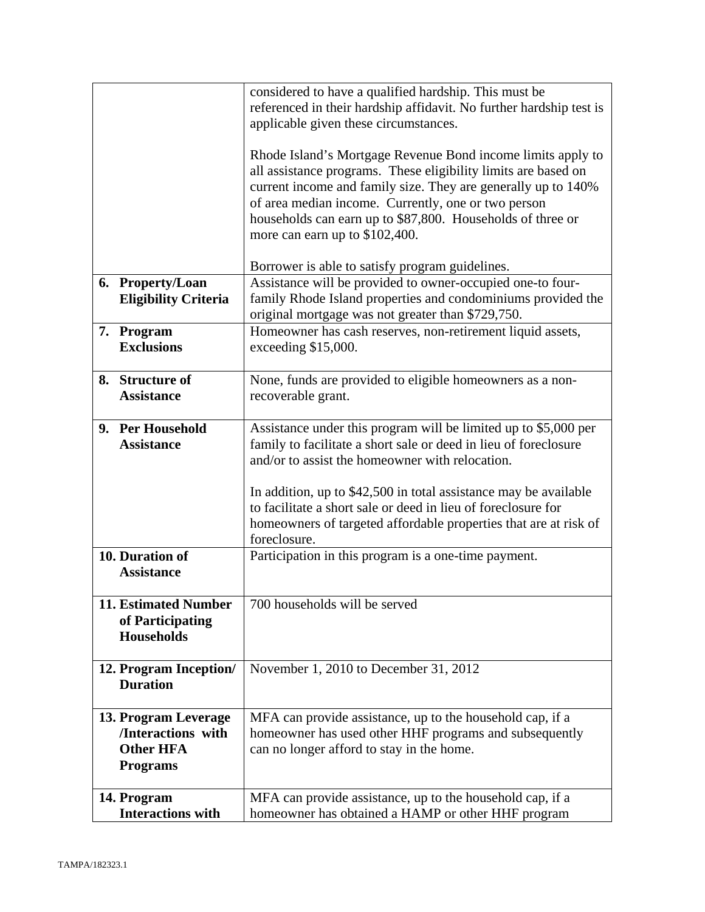|                                                                                   | considered to have a qualified hardship. This must be<br>referenced in their hardship affidavit. No further hardship test is<br>applicable given these circumstances.<br>Rhode Island's Mortgage Revenue Bond income limits apply to<br>all assistance programs. These eligibility limits are based on<br>current income and family size. They are generally up to 140%<br>of area median income. Currently, one or two person<br>households can earn up to \$87,800. Households of three or<br>more can earn up to \$102,400. |
|-----------------------------------------------------------------------------------|--------------------------------------------------------------------------------------------------------------------------------------------------------------------------------------------------------------------------------------------------------------------------------------------------------------------------------------------------------------------------------------------------------------------------------------------------------------------------------------------------------------------------------|
| 6. Property/Loan<br><b>Eligibility Criteria</b>                                   | Borrower is able to satisfy program guidelines.<br>Assistance will be provided to owner-occupied one-to four-<br>family Rhode Island properties and condominiums provided the<br>original mortgage was not greater than \$729,750.                                                                                                                                                                                                                                                                                             |
| 7. Program<br><b>Exclusions</b>                                                   | Homeowner has cash reserves, non-retirement liquid assets,<br>exceeding \$15,000.                                                                                                                                                                                                                                                                                                                                                                                                                                              |
| 8. Structure of<br><b>Assistance</b>                                              | None, funds are provided to eligible homeowners as a non-<br>recoverable grant.                                                                                                                                                                                                                                                                                                                                                                                                                                                |
| 9. Per Household<br><b>Assistance</b>                                             | Assistance under this program will be limited up to \$5,000 per<br>family to facilitate a short sale or deed in lieu of foreclosure<br>and/or to assist the homeowner with relocation.<br>In addition, up to \$42,500 in total assistance may be available<br>to facilitate a short sale or deed in lieu of foreclosure for<br>homeowners of targeted affordable properties that are at risk of<br>foreclosure.                                                                                                                |
| 10. Duration of<br><b>Assistance</b>                                              | Participation in this program is a one-time payment.                                                                                                                                                                                                                                                                                                                                                                                                                                                                           |
| <b>11. Estimated Number</b><br>of Participating<br>Households                     | 700 households will be served                                                                                                                                                                                                                                                                                                                                                                                                                                                                                                  |
| 12. Program Inception/<br><b>Duration</b>                                         | November 1, 2010 to December 31, 2012                                                                                                                                                                                                                                                                                                                                                                                                                                                                                          |
| 13. Program Leverage<br>/Interactions with<br><b>Other HFA</b><br><b>Programs</b> | MFA can provide assistance, up to the household cap, if a<br>homeowner has used other HHF programs and subsequently<br>can no longer afford to stay in the home.                                                                                                                                                                                                                                                                                                                                                               |
| 14. Program<br><b>Interactions with</b>                                           | MFA can provide assistance, up to the household cap, if a<br>homeowner has obtained a HAMP or other HHF program                                                                                                                                                                                                                                                                                                                                                                                                                |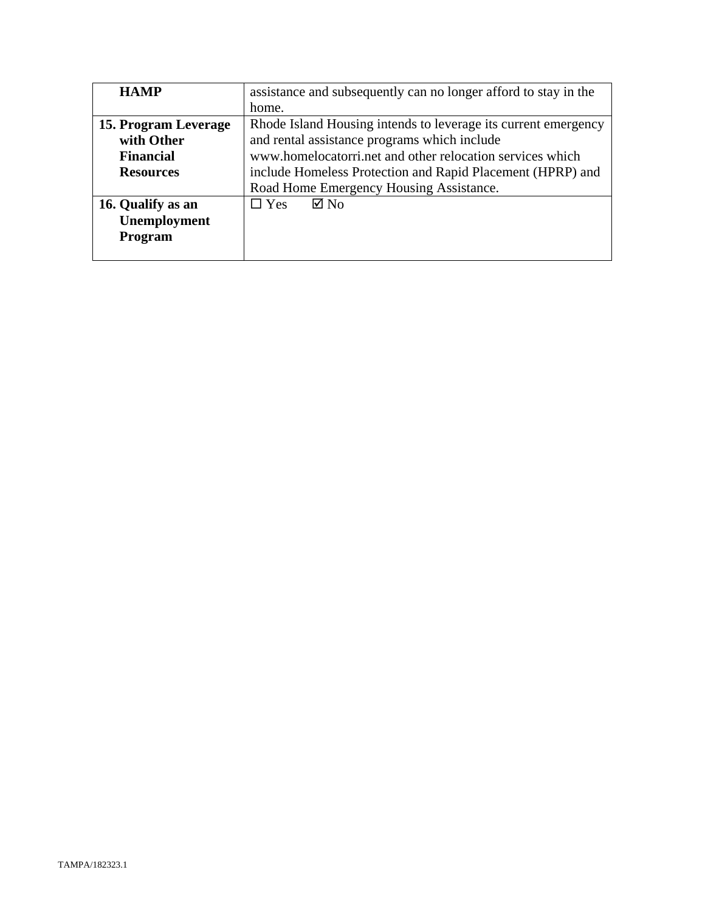| <b>HAMP</b>          | assistance and subsequently can no longer afford to stay in the |
|----------------------|-----------------------------------------------------------------|
|                      | home.                                                           |
| 15. Program Leverage | Rhode Island Housing intends to leverage its current emergency  |
| with Other           | and rental assistance programs which include                    |
| <b>Financial</b>     | www.homelocatorri.net and other relocation services which       |
| <b>Resources</b>     | include Homeless Protection and Rapid Placement (HPRP) and      |
|                      | Road Home Emergency Housing Assistance.                         |
| 16. Qualify as an    | $\boxtimes$ No<br>$\Box$ Yes                                    |
| Unemployment         |                                                                 |
| Program              |                                                                 |
|                      |                                                                 |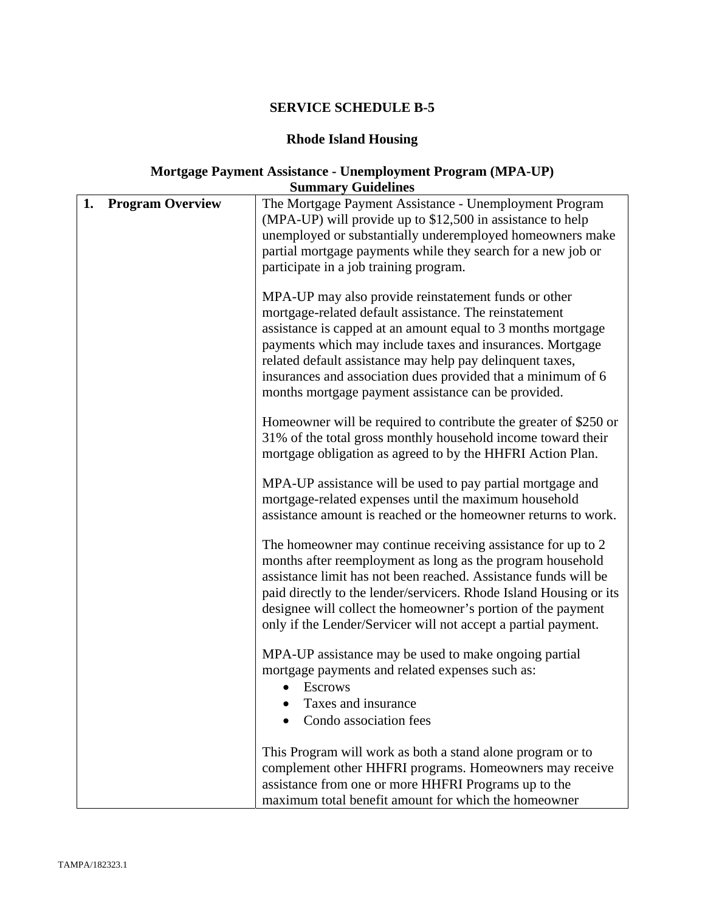# **Rhode Island Housing**

### **Mortgage Payment Assistance - Unemployment Program (MPA-UP) Summary Guidelines**

|    |                         | ранный у чакинку                                                                                                                                                                                                                                                                                                                                                                                                                |
|----|-------------------------|---------------------------------------------------------------------------------------------------------------------------------------------------------------------------------------------------------------------------------------------------------------------------------------------------------------------------------------------------------------------------------------------------------------------------------|
| 1. | <b>Program Overview</b> | The Mortgage Payment Assistance - Unemployment Program<br>(MPA-UP) will provide up to \$12,500 in assistance to help<br>unemployed or substantially underemployed homeowners make<br>partial mortgage payments while they search for a new job or<br>participate in a job training program.                                                                                                                                     |
|    |                         | MPA-UP may also provide reinstatement funds or other<br>mortgage-related default assistance. The reinstatement<br>assistance is capped at an amount equal to 3 months mortgage<br>payments which may include taxes and insurances. Mortgage<br>related default assistance may help pay delinquent taxes,<br>insurances and association dues provided that a minimum of 6<br>months mortgage payment assistance can be provided. |
|    |                         | Homeowner will be required to contribute the greater of \$250 or<br>31% of the total gross monthly household income toward their<br>mortgage obligation as agreed to by the HHFRI Action Plan.                                                                                                                                                                                                                                  |
|    |                         | MPA-UP assistance will be used to pay partial mortgage and<br>mortgage-related expenses until the maximum household<br>assistance amount is reached or the homeowner returns to work.                                                                                                                                                                                                                                           |
|    |                         | The homeowner may continue receiving assistance for up to 2<br>months after reemployment as long as the program household<br>assistance limit has not been reached. Assistance funds will be<br>paid directly to the lender/servicers. Rhode Island Housing or its<br>designee will collect the homeowner's portion of the payment<br>only if the Lender/Servicer will not accept a partial payment.                            |
|    |                         | MPA-UP assistance may be used to make ongoing partial<br>mortgage payments and related expenses such as:<br><b>Escrows</b><br>Taxes and insurance<br>Condo association fees                                                                                                                                                                                                                                                     |
|    |                         | This Program will work as both a stand alone program or to<br>complement other HHFRI programs. Homeowners may receive<br>assistance from one or more HHFRI Programs up to the<br>maximum total benefit amount for which the homeowner                                                                                                                                                                                           |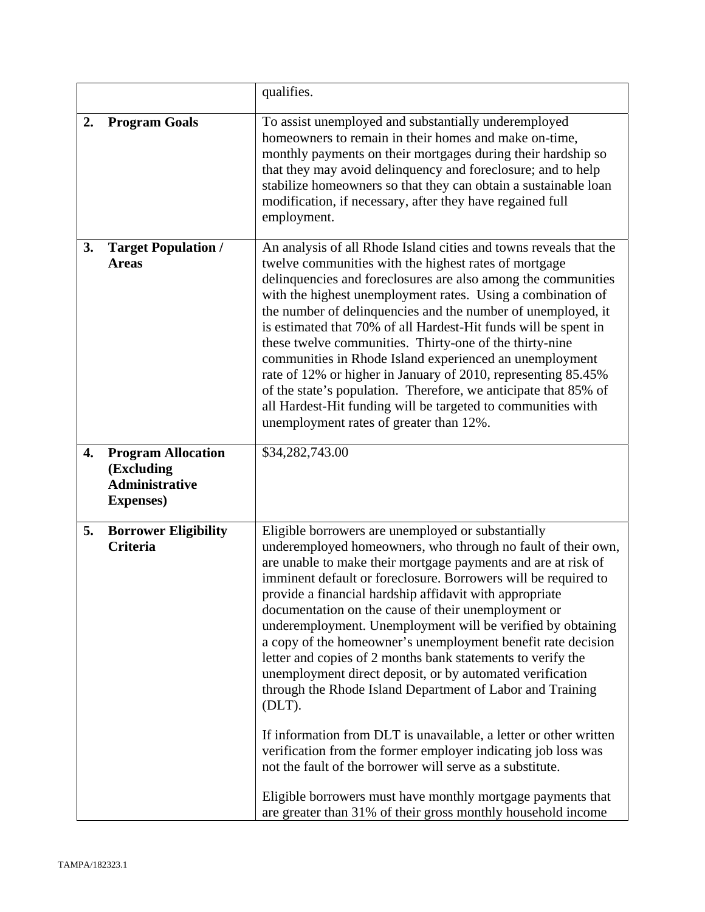|    |                                                                                       | qualifies.                                                                                                                                                                                                                                                                                                                                                                                                                                                                                                                                                                                                                                                                                                                                                                                                                                                                                                                                                                                                                                     |
|----|---------------------------------------------------------------------------------------|------------------------------------------------------------------------------------------------------------------------------------------------------------------------------------------------------------------------------------------------------------------------------------------------------------------------------------------------------------------------------------------------------------------------------------------------------------------------------------------------------------------------------------------------------------------------------------------------------------------------------------------------------------------------------------------------------------------------------------------------------------------------------------------------------------------------------------------------------------------------------------------------------------------------------------------------------------------------------------------------------------------------------------------------|
| 2. | <b>Program Goals</b>                                                                  | To assist unemployed and substantially underemployed<br>homeowners to remain in their homes and make on-time,<br>monthly payments on their mortgages during their hardship so<br>that they may avoid delinquency and foreclosure; and to help<br>stabilize homeowners so that they can obtain a sustainable loan<br>modification, if necessary, after they have regained full<br>employment.                                                                                                                                                                                                                                                                                                                                                                                                                                                                                                                                                                                                                                                   |
| 3. | <b>Target Population /</b><br><b>Areas</b>                                            | An analysis of all Rhode Island cities and towns reveals that the<br>twelve communities with the highest rates of mortgage<br>delinquencies and foreclosures are also among the communities<br>with the highest unemployment rates. Using a combination of<br>the number of delinquencies and the number of unemployed, it<br>is estimated that 70% of all Hardest-Hit funds will be spent in<br>these twelve communities. Thirty-one of the thirty-nine<br>communities in Rhode Island experienced an unemployment<br>rate of 12% or higher in January of 2010, representing 85.45%<br>of the state's population. Therefore, we anticipate that 85% of<br>all Hardest-Hit funding will be targeted to communities with<br>unemployment rates of greater than 12%.                                                                                                                                                                                                                                                                             |
| 4. | <b>Program Allocation</b><br>(Excluding<br><b>Administrative</b><br><b>Expenses</b> ) | \$34,282,743.00                                                                                                                                                                                                                                                                                                                                                                                                                                                                                                                                                                                                                                                                                                                                                                                                                                                                                                                                                                                                                                |
| 5. | <b>Borrower Eligibility</b><br>Criteria                                               | Eligible borrowers are unemployed or substantially<br>underemployed homeowners, who through no fault of their own,<br>are unable to make their mortgage payments and are at risk of<br>imminent default or foreclosure. Borrowers will be required to<br>provide a financial hardship affidavit with appropriate<br>documentation on the cause of their unemployment or<br>underemployment. Unemployment will be verified by obtaining<br>a copy of the homeowner's unemployment benefit rate decision<br>letter and copies of 2 months bank statements to verify the<br>unemployment direct deposit, or by automated verification<br>through the Rhode Island Department of Labor and Training<br>$(DLT)$ .<br>If information from DLT is unavailable, a letter or other written<br>verification from the former employer indicating job loss was<br>not the fault of the borrower will serve as a substitute.<br>Eligible borrowers must have monthly mortgage payments that<br>are greater than 31% of their gross monthly household income |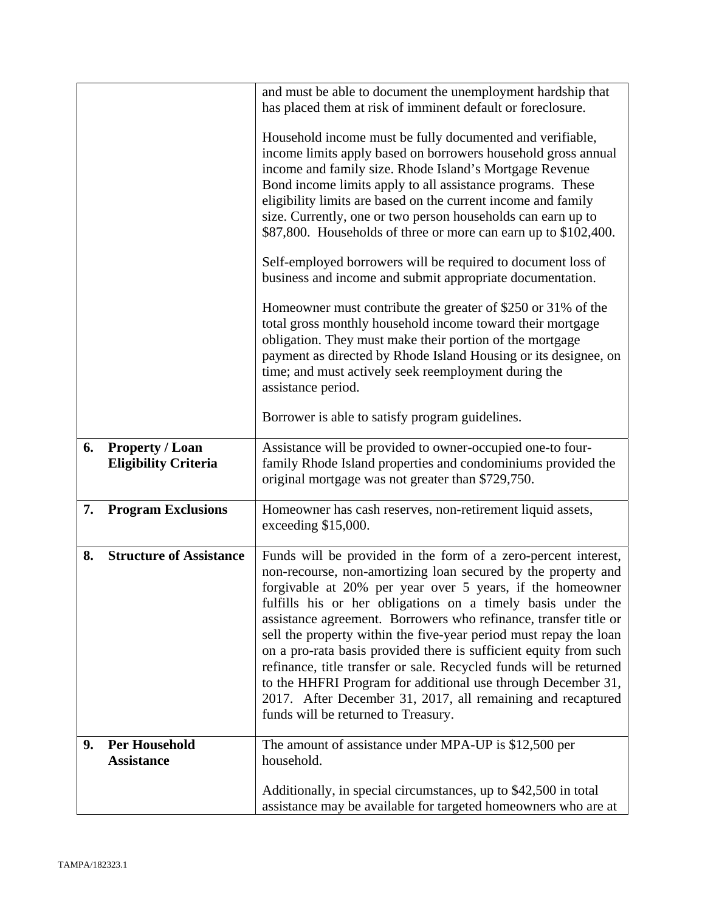|    |                                                       | and must be able to document the unemployment hardship that<br>has placed them at risk of imminent default or foreclosure.                                                                                                                                                                                                                                                                                                                                                                                                                                                                                                                                                                                            |
|----|-------------------------------------------------------|-----------------------------------------------------------------------------------------------------------------------------------------------------------------------------------------------------------------------------------------------------------------------------------------------------------------------------------------------------------------------------------------------------------------------------------------------------------------------------------------------------------------------------------------------------------------------------------------------------------------------------------------------------------------------------------------------------------------------|
|    |                                                       | Household income must be fully documented and verifiable,<br>income limits apply based on borrowers household gross annual<br>income and family size. Rhode Island's Mortgage Revenue<br>Bond income limits apply to all assistance programs. These<br>eligibility limits are based on the current income and family<br>size. Currently, one or two person households can earn up to<br>\$87,800. Households of three or more can earn up to \$102,400.<br>Self-employed borrowers will be required to document loss of                                                                                                                                                                                               |
|    |                                                       | business and income and submit appropriate documentation.                                                                                                                                                                                                                                                                                                                                                                                                                                                                                                                                                                                                                                                             |
|    |                                                       | Homeowner must contribute the greater of \$250 or 31% of the<br>total gross monthly household income toward their mortgage<br>obligation. They must make their portion of the mortgage<br>payment as directed by Rhode Island Housing or its designee, on<br>time; and must actively seek reemployment during the<br>assistance period.                                                                                                                                                                                                                                                                                                                                                                               |
|    |                                                       | Borrower is able to satisfy program guidelines.                                                                                                                                                                                                                                                                                                                                                                                                                                                                                                                                                                                                                                                                       |
| 6. | <b>Property / Loan</b><br><b>Eligibility Criteria</b> | Assistance will be provided to owner-occupied one-to four-<br>family Rhode Island properties and condominiums provided the<br>original mortgage was not greater than \$729,750.                                                                                                                                                                                                                                                                                                                                                                                                                                                                                                                                       |
| 7. | <b>Program Exclusions</b>                             | Homeowner has cash reserves, non-retirement liquid assets,<br>exceeding \$15,000.                                                                                                                                                                                                                                                                                                                                                                                                                                                                                                                                                                                                                                     |
| 8. | <b>Structure of Assistance</b>                        | Funds will be provided in the form of a zero-percent interest,<br>non-recourse, non-amortizing loan secured by the property and<br>forgivable at 20% per year over 5 years, if the homeowner<br>fulfills his or her obligations on a timely basis under the<br>assistance agreement. Borrowers who refinance, transfer title or<br>sell the property within the five-year period must repay the loan<br>on a pro-rata basis provided there is sufficient equity from such<br>refinance, title transfer or sale. Recycled funds will be returned<br>to the HHFRI Program for additional use through December 31,<br>2017. After December 31, 2017, all remaining and recaptured<br>funds will be returned to Treasury. |
| 9. | <b>Per Household</b><br><b>Assistance</b>             | The amount of assistance under MPA-UP is \$12,500 per<br>household.                                                                                                                                                                                                                                                                                                                                                                                                                                                                                                                                                                                                                                                   |
|    |                                                       | Additionally, in special circumstances, up to \$42,500 in total<br>assistance may be available for targeted homeowners who are at                                                                                                                                                                                                                                                                                                                                                                                                                                                                                                                                                                                     |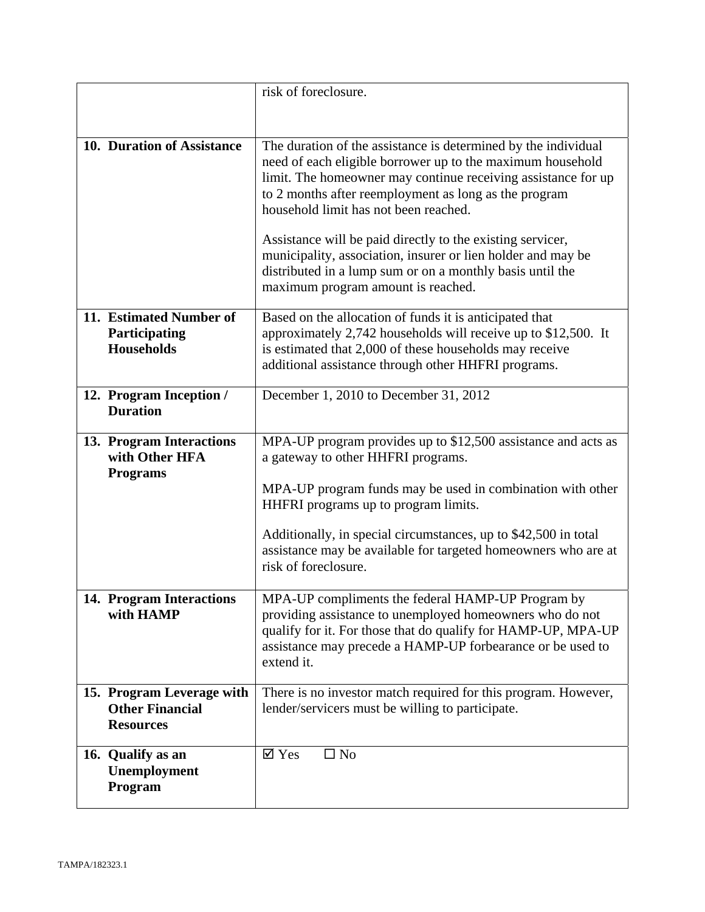|                                                                         | risk of foreclosure.                                                                                                                                                                                                                                                                                                                                                                                                                                                                                                             |
|-------------------------------------------------------------------------|----------------------------------------------------------------------------------------------------------------------------------------------------------------------------------------------------------------------------------------------------------------------------------------------------------------------------------------------------------------------------------------------------------------------------------------------------------------------------------------------------------------------------------|
|                                                                         |                                                                                                                                                                                                                                                                                                                                                                                                                                                                                                                                  |
|                                                                         |                                                                                                                                                                                                                                                                                                                                                                                                                                                                                                                                  |
| 10. Duration of Assistance                                              | The duration of the assistance is determined by the individual<br>need of each eligible borrower up to the maximum household<br>limit. The homeowner may continue receiving assistance for up<br>to 2 months after reemployment as long as the program<br>household limit has not been reached.<br>Assistance will be paid directly to the existing servicer,<br>municipality, association, insurer or lien holder and may be<br>distributed in a lump sum or on a monthly basis until the<br>maximum program amount is reached. |
|                                                                         |                                                                                                                                                                                                                                                                                                                                                                                                                                                                                                                                  |
| 11. Estimated Number of<br>Participating<br><b>Households</b>           | Based on the allocation of funds it is anticipated that<br>approximately 2,742 households will receive up to \$12,500. It<br>is estimated that 2,000 of these households may receive<br>additional assistance through other HHFRI programs.                                                                                                                                                                                                                                                                                      |
| 12. Program Inception /<br><b>Duration</b>                              | December 1, 2010 to December 31, 2012                                                                                                                                                                                                                                                                                                                                                                                                                                                                                            |
| 13. Program Interactions<br>with Other HFA<br><b>Programs</b>           | MPA-UP program provides up to \$12,500 assistance and acts as<br>a gateway to other HHFRI programs.                                                                                                                                                                                                                                                                                                                                                                                                                              |
|                                                                         | MPA-UP program funds may be used in combination with other<br>HHFRI programs up to program limits.                                                                                                                                                                                                                                                                                                                                                                                                                               |
|                                                                         | Additionally, in special circumstances, up to \$42,500 in total<br>assistance may be available for targeted homeowners who are at<br>risk of foreclosure.                                                                                                                                                                                                                                                                                                                                                                        |
| 14. Program Interactions<br>with HAMP                                   | MPA-UP compliments the federal HAMP-UP Program by<br>providing assistance to unemployed homeowners who do not<br>qualify for it. For those that do qualify for HAMP-UP, MPA-UP<br>assistance may precede a HAMP-UP forbearance or be used to<br>extend it.                                                                                                                                                                                                                                                                       |
| 15. Program Leverage with<br><b>Other Financial</b><br><b>Resources</b> | There is no investor match required for this program. However,<br>lender/servicers must be willing to participate.                                                                                                                                                                                                                                                                                                                                                                                                               |
| 16. Qualify as an<br>Unemployment<br>Program                            | $\boxtimes$ Yes<br>$\square$ No                                                                                                                                                                                                                                                                                                                                                                                                                                                                                                  |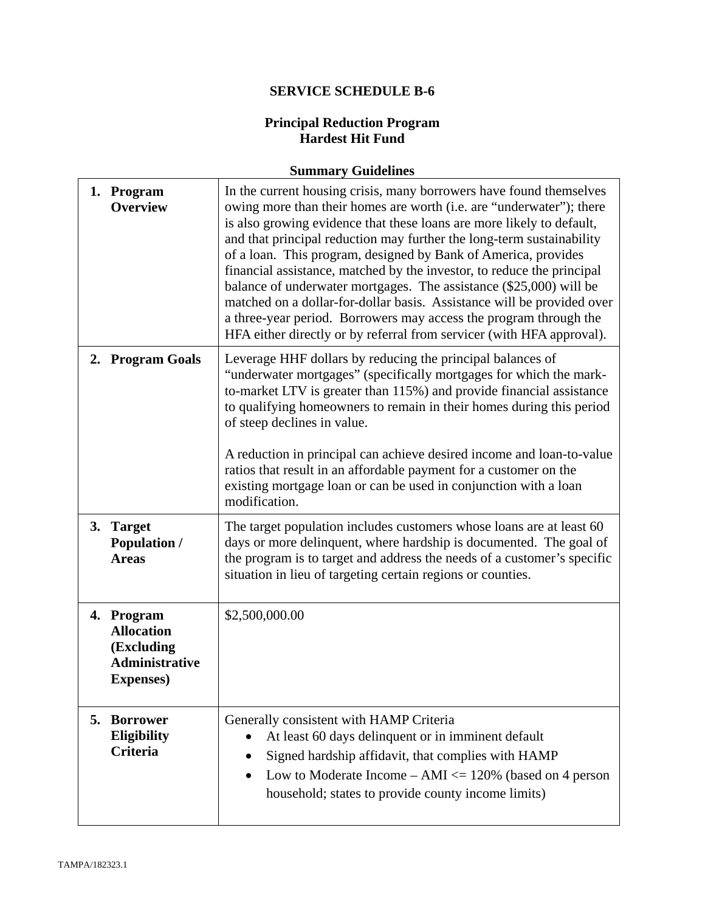### **Principal Reduction Program Hardest Hit Fund**

# **Summary Guidelines**

| 1. Program<br><b>Overview</b>                                                               | In the current housing crisis, many borrowers have found themselves<br>owing more than their homes are worth (i.e. are "underwater"); there<br>is also growing evidence that these loans are more likely to default,<br>and that principal reduction may further the long-term sustainability<br>of a loan. This program, designed by Bank of America, provides<br>financial assistance, matched by the investor, to reduce the principal<br>balance of underwater mortgages. The assistance (\$25,000) will be<br>matched on a dollar-for-dollar basis. Assistance will be provided over<br>a three-year period. Borrowers may access the program through the<br>HFA either directly or by referral from servicer (with HFA approval). |
|---------------------------------------------------------------------------------------------|-----------------------------------------------------------------------------------------------------------------------------------------------------------------------------------------------------------------------------------------------------------------------------------------------------------------------------------------------------------------------------------------------------------------------------------------------------------------------------------------------------------------------------------------------------------------------------------------------------------------------------------------------------------------------------------------------------------------------------------------|
| 2. Program Goals                                                                            | Leverage HHF dollars by reducing the principal balances of<br>"underwater mortgages" (specifically mortgages for which the mark-<br>to-market LTV is greater than 115%) and provide financial assistance<br>to qualifying homeowners to remain in their homes during this period<br>of steep declines in value.<br>A reduction in principal can achieve desired income and loan-to-value<br>ratios that result in an affordable payment for a customer on the<br>existing mortgage loan or can be used in conjunction with a loan<br>modification.                                                                                                                                                                                      |
| 3. Target<br><b>Population /</b><br><b>Areas</b>                                            | The target population includes customers whose loans are at least 60<br>days or more delinquent, where hardship is documented. The goal of<br>the program is to target and address the needs of a customer's specific<br>situation in lieu of targeting certain regions or counties.                                                                                                                                                                                                                                                                                                                                                                                                                                                    |
| 4. Program<br><b>Allocation</b><br>(Excluding<br><b>Administrative</b><br><b>Expenses</b> ) | \$2,500,000.00                                                                                                                                                                                                                                                                                                                                                                                                                                                                                                                                                                                                                                                                                                                          |
| 5. Borrower<br>Eligibility<br><b>Criteria</b>                                               | Generally consistent with HAMP Criteria<br>At least 60 days delinquent or in imminent default<br>Signed hardship affidavit, that complies with HAMP<br>Low to Moderate Income $- AMI \le 120\%$ (based on 4 person<br>household; states to provide county income limits)                                                                                                                                                                                                                                                                                                                                                                                                                                                                |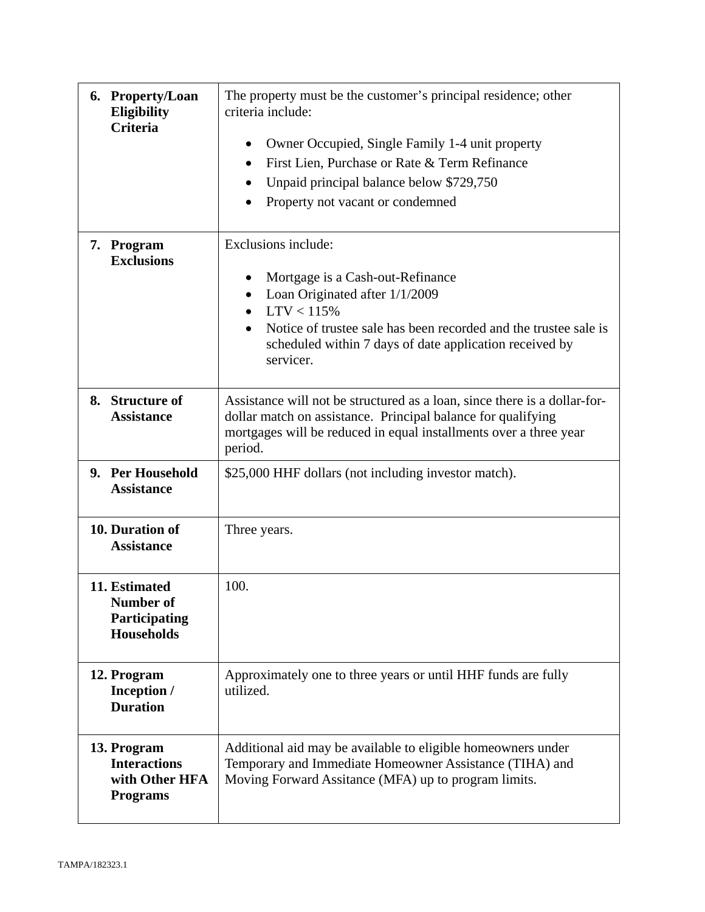| 6. Property/Loan<br><b>Eligibility</b><br><b>Criteria</b>               | The property must be the customer's principal residence; other<br>criteria include:<br>Owner Occupied, Single Family 1-4 unit property<br>٠<br>First Lien, Purchase or Rate & Term Refinance<br>$\bullet$<br>Unpaid principal balance below \$729,750<br>Property not vacant or condemned |
|-------------------------------------------------------------------------|-------------------------------------------------------------------------------------------------------------------------------------------------------------------------------------------------------------------------------------------------------------------------------------------|
| 7. Program<br><b>Exclusions</b>                                         | Exclusions include:<br>Mortgage is a Cash-out-Refinance<br>Loan Originated after 1/1/2009<br>LTV < 115%<br>Notice of trustee sale has been recorded and the trustee sale is<br>scheduled within 7 days of date application received by<br>servicer.                                       |
| 8. Structure of<br><b>Assistance</b>                                    | Assistance will not be structured as a loan, since there is a dollar-for-<br>dollar match on assistance. Principal balance for qualifying<br>mortgages will be reduced in equal installments over a three year<br>period.                                                                 |
| 9. Per Household<br><b>Assistance</b>                                   | \$25,000 HHF dollars (not including investor match).                                                                                                                                                                                                                                      |
| 10. Duration of<br><b>Assistance</b>                                    | Three years.                                                                                                                                                                                                                                                                              |
| 11. Estimated<br>Number of<br>Participating<br><b>Households</b>        | 100.                                                                                                                                                                                                                                                                                      |
| 12. Program<br>Inception /<br><b>Duration</b>                           | Approximately one to three years or until HHF funds are fully<br>utilized.                                                                                                                                                                                                                |
| 13. Program<br><b>Interactions</b><br>with Other HFA<br><b>Programs</b> | Additional aid may be available to eligible homeowners under<br>Temporary and Immediate Homeowner Assistance (TIHA) and<br>Moving Forward Assitance (MFA) up to program limits.                                                                                                           |